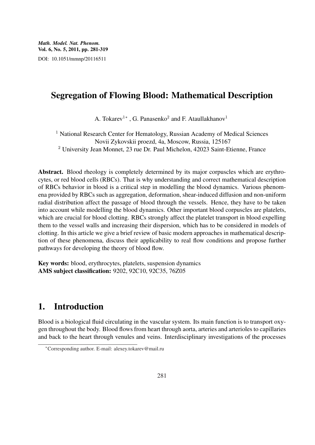## Segregation of Flowing Blood: Mathematical Description

A. Tokarev<sup>1</sup>\*, G. Panasenko<sup>2</sup> and F. Ataullakhanov<sup>1</sup>

<sup>1</sup> National Research Center for Hematology, Russian Academy of Medical Sciences Novii Zykovskii proezd, 4a, Moscow, Russia, 125167 <sup>2</sup> University Jean Monnet, 23 rue Dr. Paul Michelon, 42023 Saint-Etienne, France

Abstract. Blood rheology is completely determined by its major corpuscles which are erythrocytes, or red blood cells (RBCs). That is why understanding and correct mathematical description of RBCs behavior in blood is a critical step in modelling the blood dynamics. Various phenomena provided by RBCs such as aggregation, deformation, shear-induced diffusion and non-uniform radial distribution affect the passage of blood through the vessels. Hence, they have to be taken into account while modelling the blood dynamics. Other important blood corpuscles are platelets, which are crucial for blood clotting. RBCs strongly affect the platelet transport in blood expelling them to the vessel walls and increasing their dispersion, which has to be considered in models of clotting. In this article we give a brief review of basic modern approaches in mathematical description of these phenomena, discuss their applicability to real flow conditions and propose further pathways for developing the theory of blood flow.

Key words: blood, erythrocytes, platelets, suspension dynamics AMS subject classification: 9202, 92C10, 92C35, 76Z05

# 1. Introduction

Blood is a biological fluid circulating in the vascular system. Its main function is to transport oxygen throughout the body. Blood flows from heart through aorta, arteries and arterioles to capillaries and back to the heart through venules and veins. Interdisciplinary investigations of the processes

<sup>∗</sup>Corresponding author. E-mail: alexey.tokarev@mail.ru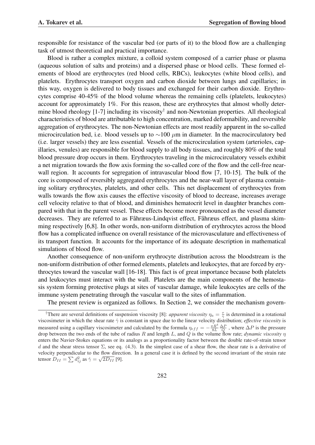responsible for resistance of the vascular bed (or parts of it) to the blood flow are a challenging task of utmost theoretical and practical importance.

Blood is rather a complex mixture, a colloid system composed of a carrier phase or plasma (aqueous solution of salts and proteins) and a dispersed phase or blood cells. These formed elements of blood are erythrocytes (red blood cells, RBCs), leukocytes (white blood cells), and platelets. Erythrocytes transport oxygen and carbon dioxide between lungs and capillaries; in this way, oxygen is delivered to body tissues and exchanged for their carbon dioxide. Erythrocytes comprise 40-45% of the blood volume whereas the remaining cells (platelets, leukocytes) account for approximately 1%. For this reason, these are erythrocytes that almost wholly determine blood rheology [1-7] including its viscosity<sup>†</sup> and non-Newtonian properties. All rheological characteristics of blood are attributable to high concentration, marked deformability, and reversible aggregation of erythrocytes. The non-Newtonian effects are most readily apparent in the so-called microcirculation bed, i.e. blood vessels up to  $\sim$ 100  $\mu$ m in diameter. In the macrocirculatory bed (i.e. larger vessels) they are less essential. Vessels of the microcirculation system (arterioles, capillaries, venules) are responsible for blood supply to all body tissues, and roughly 80% of the total blood pressure drop occurs in them. Erythrocytes traveling in the microcirculatory vessels exhibit a net migration towards the flow axis forming the so-called core of the flow and the cell-free nearwall region. It accounts for segregation of intravascular blood flow [7, 10-15]. The bulk of the core is composed of reversibly aggregated erythrocytes and the near-wall layer of plasma containing solitary erythrocytes, platelets, and other cells. This net displacement of erythrocytes from walls towards the flow axis causes the effective viscosity of blood to decrease, increases average cell velocity relative to that of blood, and diminishes hematocrit level in daughter branches compared with that in the parent vessel. These effects become more pronounced as the vessel diameter decreases. They are referred to as Fåhræus-Lindqvist effect, Fåhræus effect, and plasma skimming respectively [6,8]. In other words, non-uniform distribution of erythrocytes across the blood flow has a complicated influence on overall resistance of the microvasculature and effectiveness of its transport function. It accounts for the importance of its adequate description in mathematical simulations of blood flow.

Another consequence of non-uniform erythrocyte distribution across the bloodstream is the non-uniform distribution of other formed elements, platelets and leukocytes, that are forced by erythrocytes toward the vascular wall [16-18]. This fact is of great importance because both platelets and leukocytes must interact with the wall. Platelets are the main components of the hemostasis system forming protective plugs at sites of vascular damage, while leukocytes are cells of the immune system penetrating through the vascular wall to the sites of inflammation.

The present review is organized as follows. In Section 2, we consider the mechanism govern-

<sup>&</sup>lt;sup>†</sup>There are several definitions of suspension viscosity [8]: *apparent viscosity*  $\eta_a = \frac{\tau}{\gamma}$  is determined in a rotational viscosimeter in which the shear rate  $\dot{\gamma}$  is constant in space due to the linear velocity distribution; *effective viscosity* is measured using a capillary viscosimeter and calculated by the formula  $\eta_{eff} = -\frac{\pi R^4}{8L} \frac{\Delta P}{Q}$ , where  $\Delta P$  is the pressure drop between the two ends of the tube of radius R and length L, and Q is the volume flow rate; *dynamic viscosity*  $\eta$ enters the Navier-Stokes equations or its analogs as a proportionality factor between the double rate-of-strain tensor d and the shear stress tensor  $\Sigma$ , see eq. (4.3). In the simplest case of a shear flow, the shear rate is a derivative of velocity perpendicular to the flow direction. In a general case it is defined by the second invariant of the strain rate velocity perpendicular to the flow direct<br>tensor  $D_{II} = \sum d_{ij}^2$  as  $\dot{\gamma} = \sqrt{2D_{II}}$  [9].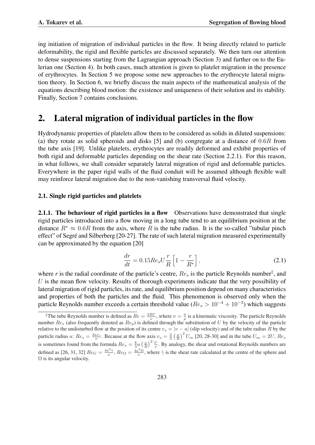ing initiation of migration of individual particles in the flow. It being directly related to particle deformability, the rigid and flexible particles are discussed separately. We then turn our attention to dense suspensions starting from the Lagrangian approach (Section 3) and further on to the Eulerian one (Section 4). In both cases, much attention is given to platelet migration in the presence of erythrocytes. In Section 5 we propose some new approaches to the erythrocyte lateral migration theory. In Section 6, we briefly discuss the main aspects of the mathematical analysis of the equations describing blood motion: the existence and uniqueness of their solution and its stability. Finally, Section 7 contains conclusions.

# 2. Lateral migration of individual particles in the flow

Hydrodynamic properties of platelets allow them to be considered as solids in diluted suspensions: (a) they rotate as solid spheroids and disks [5] and (b) congregate at a distance of 0.6R from the tube axis [19]. Unlike platelets, erythrocytes are readily deformed and exhibit properties of both rigid and deformable particles depending on the shear rate (Section 2.2.1). For this reason, in what follows, we shall consider separately lateral migration of rigid and deformable particles. Everywhere in the paper rigid walls of the fluid conduit will be assumed although flexible wall may reinforce lateral migration due to the non-vanishing transversal fluid velocity.

#### 2.1. Single rigid particles and platelets

2.1.1. The behaviour of rigid particles in a flow Observations have demonstrated that single rigid particles introduced into a flow moving in a long tube tend to an equilibrium position at the distance  $R^* \approx 0.6R$  from the axis, where R is the tube radius. It is the so-called "tubular pinch" effect" of Segre and Silberberg [20-27]. The rate of such lateral migration measured experimentally ´ can be approximated by the equation [20]

$$
\frac{dr}{dt} = 0.15 Re_s U \frac{r}{R} \left[ 1 - \frac{r}{R^*} \right],\tag{2.1}
$$

where *r* is the radial coordinate of the particle's centre,  $Re_s$  is the particle Reynolds number<sup>‡</sup>, and  $U$  is the mean flow velocity. Results of thorough experiments indicate that the very possibility of lateral migration of rigid particles, its rate, and equilibrium position depend on many characteristics and properties of both the particles and the fluid. This phenomenon is observed only when the particle Reynolds number exceeds a certain threshold value ( $Re_s > 10^{-4} \div 10^{-3}$ ) which suggests

<sup>&</sup>lt;sup>‡</sup>The tube Reynolds number is defined as  $Re = \frac{2RU}{\nu}$ , where  $\nu = \frac{\eta}{\rho}$  is a kinematic viscosity. The particle Reynolds number  $Re_s$  (also frequently denoted as  $Re_p$ ) is defined through the substitution of U by the velocity of the particle relative to the undisturbed flow at the position of its centre  $v_s = |v - u|$  (slip velocity) and of the tube radius R by the particle radius a:  $Re_s = \frac{2av_s}{\nu}$ . Because at the flow axis  $v_s = \frac{2}{3} \left(\frac{a}{R}\right)^2 U_m$  [20, 28-30] and in the tube  $U_m = 2U$ ,  $Re_s$ is sometimes found from the formula  $Re_s = \frac{8}{3}a$  $\left(\frac{a}{R}\right)^2 \frac{U}{V}$ . By analogy, the shear and rotational Reynolds numbers are defined as [26, 31, 32]  $Re_G = \frac{4a^2 \dot{\gamma}}{\nu}$ ,  $Re_\Omega = \frac{4a^2 \Omega}{\nu}$ , where  $\dot{\gamma}$  is the shear rate calculated at the centre of the sphere and  $\Omega$  is its angular velocity.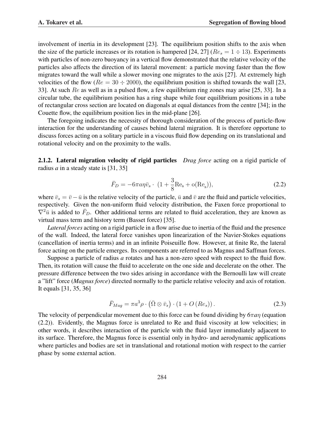involvement of inertia in its development [23]. The equilibrium position shifts to the axis when the size of the particle increases or its rotation is hampered [24, 27] ( $Re_s = 1 \div 13$ ). Experiments with particles of non-zero buoyancy in a vertical flow demonstrated that the relative velocity of the particles also affects the direction of its lateral movement: a particle moving faster than the flow migrates toward the wall while a slower moving one migrates to the axis [27]. At extremely high velocities of the flow ( $Re = 30 \div 2000$ ), the equilibrium position is shifted towards the wall [23, 33]. At such Re as well as in a pulsed flow, a few equilibrium ring zones may arise [25, 33]. In a circular tube, the equilibrium position has a ring shape while four equilibrium positions in a tube of rectangular cross section are located on diagonals at equal distances from the centre [34]; in the Couette flow, the equilibrium position lies in the mid-plane [26].

The foregoing indicates the necessity of thorough consideration of the process of particle-flow interaction for the understanding of causes behind lateral migration. It is therefore opportune to discuss forces acting on a solitary particle in a viscous fluid flow depending on its translational and rotational velocity and on the proximity to the walls.

2.1.2. Lateral migration velocity of rigid particles *Drag force* acting on a rigid particle of radius *a* in a steady state is [31, 35]

$$
\bar{F}_D = -6\pi a \eta \bar{v}_s \cdot (1 + \frac{3}{8} \text{Re}_s + o(\text{Re}_s)),\tag{2.2}
$$

where  $\bar{v}_s = \bar{v} - \bar{u}$  is the relative velocity of the particle,  $\bar{u}$  and  $\bar{v}$  are the fluid and particle velocities, respectively. Given the non-uniform fluid velocity distribution, the Faxen force proportional to  $\nabla^2 \bar{u}$  is added to  $\bar{F}_D$ . Other additional terms are related to fluid acceleration, they are known as virtual mass term and history term (Basset force) [35].

*Lateral forces* acting on a rigid particle in a flow arise due to inertia of the fluid and the presence of the wall. Indeed, the lateral force vanishes upon linearization of the Navier-Stokes equations (cancellation of inertia terms) and in an infinite Poiseuille flow. However, at finite Re, the lateral force acting on the particle emerges. Its components are referred to as Magnus and Saffman forces.

Suppose a particle of radius *a* rotates and has a non-zero speed with respect to the fluid flow. Then, its rotation will cause the fluid to accelerate on the one side and decelerate on the other. The pressure difference between the two sides arising in accordance with the Bernoulli law will create a "lift" force (*Magnus force*) directed normally to the particle relative velocity and axis of rotation. It equals [31, 35, 36]

$$
\bar{F}_{Mag} = \pi a^3 \rho \cdot (\bar{\Omega} \otimes \bar{v}_s) \cdot (1 + O\left(Re_s\right)).
$$
\n(2.3)

The velocity of perpendicular movement due to this force can be found dividing by *6*π*a*η (equation (2.2)). Evidently, the Magnus force is unrelated to Re and fluid viscosity at low velocities; in other words, it describes interaction of the particle with the fluid layer immediately adjacent to its surface. Therefore, the Magnus force is essential only in hydro- and aerodynamic applications where particles and bodies are set in translational and rotational motion with respect to the carrier phase by some external action.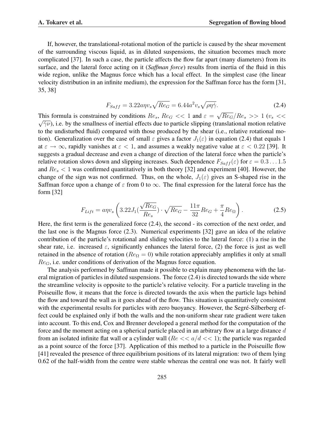If, however, the translational-rotational motion of the particle is caused by the shear movement of the surrounding viscous liquid, as in diluted suspensions, the situation becomes much more complicated [37]. In such a case, the particle affects the flow far apart (many diameters) from its surface, and the lateral force acting on it (*Saffman force*) results from inertia of the fluid in this wide region, unlike the Magnus force which has a local effect. In the simplest case (the linear velocity distribution in an infinite medium), the expression for the Saffman force has the form [31, 35, 38]

$$
F_{Saff} = 3.22a\eta v_s \sqrt{Re_G} = 6.44a^2 v_s \sqrt{\rho \eta \dot{\gamma}}.
$$
\n(2.4)

This formula is constrained by conditions  $Re_s$ ,  $Re_G$  << 1 and  $\varepsilon$  = √ This formula is constrained by conditions  $Re_s$ ,  $Re_G \ll 1$  and  $\varepsilon = \sqrt{Re_G}/Re_s >> 1$  ( $v_s \ll \sqrt{Im_G}/Im_s$ )  $\sqrt{\gamma \nu}$ ), i.e. by the smallness of inertial effects due to particle slipping (translational motion relative to the undisturbed fluid) compared with those produced by the shear (i.e., relative rotational motion). Generalization over the case of small  $\varepsilon$  gives a factor  $J_1(\varepsilon)$  in equation (2.4) that equals 1 at  $\varepsilon \to \infty$ , rapidly vanishes at  $\varepsilon < 1$ , and assumes a weakly negative value at  $\varepsilon < 0.22$  [39]. It suggests a gradual decrease and even a change of direction of the lateral force when the particle's relative rotation slows down and slipping increases. Such dependence  $F_{Saff}(\varepsilon)$  for  $\varepsilon = 0.3 \dots 1.5$ and  $Re<sub>s</sub> < 1$  was confirmed quantitatively in both theory [32] and experiment [40]. However, the change of the sign was not confirmed. Thus, on the whole,  $J_1(\varepsilon)$  gives an S-shaped rise in the Saffman force upon a change of  $\varepsilon$  from 0 to  $\infty$ . The final expression for the lateral force has the form [32]

$$
F_{Lift} = a\eta v_s \left( 3.22 J_1 \left( \frac{\sqrt{Re_G}}{Re_s} \right) \cdot \sqrt{Re_G} - \frac{11\pi}{32} Re_G + \frac{\pi}{4} Re_\Omega \right). \tag{2.5}
$$

Here, the first term is the generalized force (2.4), the second - its correction of the next order, and the last one is the Magnus force (2.3). Numerical experiments [32] gave an idea of the relative contribution of the particle's rotational and sliding velocities to the lateral force: (1) a rise in the shear rate, i.e. increased  $\varepsilon$ , significantly enhances the lateral force, (2) the force is just as well retained in the absence of rotation ( $Re_{\Omega} = 0$ ) while rotation appreciably amplifies it only at small  $Re<sub>G</sub>$ , i.e. under conditions of derivation of the Magnus force equation.

The analysis performed by Saffman made it possible to explain many phenomena with the lateral migration of particles in diluted suspensions. The force (2.4) is directed towards the side where the streamline velocity is opposite to the particle's relative velocity. For a particle traveling in the Poiseuille flow, it means that the force is directed towards the axis when the particle lags behind the flow and toward the wall as it goes ahead of the flow. This situation is quantitatively consistent with the experimental results for particles with zero buoyancy. However, the Segré-Silberberg effect could be explained only if both the walls and the non-uniform shear rate gradient were taken into account. To this end, Cox and Brenner developed a general method for the computation of the force and the moment acting on a spherical particle placed in an arbitrary flow at a large distance d from an isolated infinite flat wall or a cylinder wall ( $Re \ll a/d \ll 1$ ); the particle was regarded as a point source of the force [37]. Application of this method to a particle in the Poiseuille flow [41] revealed the presence of three equilibrium positions of its lateral migration: two of them lying 0.62 of the half-width from the centre were stable whereas the central one was not. It fairly well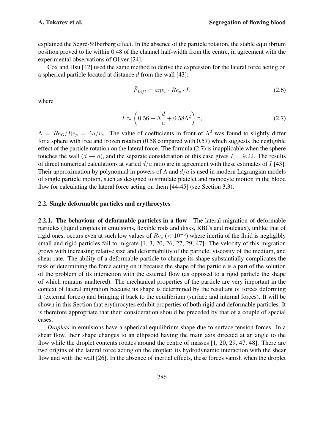explained the Segre-Silberberg effect. In the absence of the particle rotation, the stable equilibrium ´ position proved to lie within 0.48 of the channel half-width from the centre, in agreement with the experimental observations of Oliver [24].

Cox and Hsu [42] used the same method to derive the expression for the lateral force acting on a spherical particle located at distance *d* from the wall [43]:

$$
\bar{F}_{Lift} = a\eta v_s \cdot Re_s \cdot I,\tag{2.6}
$$

where

$$
I \approx \left(0.56 - \Lambda \frac{d}{a} + 0.58\Lambda^2\right)\pi,\tag{2.7}
$$

 $\Lambda = Re_G/Re_p = \dot{\gamma}a/v_s$ . The value of coefficients in front of  $\Lambda^2$  was found to slightly differ for a sphere with free and frozen rotation (0.58 compared with 0.57) which suggests the negligible effect of the particle rotation on the lateral force. The formula (2.7) is inapplicable when the sphere touches the wall  $(d \rightarrow a)$ , and the separate consideration of this case gives  $I = 9.22$ . The results of direct numerical calculations at varied  $d/a$  ratio are in agreement with these estimates of I [43]. Their approximation by polynomial in powers of  $\Lambda$  and  $d/a$  is used in modern Lagrangian models of single particle motion, such as designed to simulate platelet and monocyte motion in the blood flow for calculating the lateral force acting on them [44-45] (see Section 3.3).

#### 2.2. Single deformable particles and erythrocytes

2.2.1. The behaviour of deformable particles in a flow The lateral migration of deformable particles (liquid droplets in emulsions, flexible rods and disks, RBCs and rouleaux), unlike that of rigid ones, occurs even at such low values of  $Re<sub>s</sub>$  (< 10<sup>-6</sup>) where inertia of the fluid is negligibly small and rigid particles fail to migrate [1, 3, 20, 26, 27, 29, 47]. The velocity of this migration grows with increasing relative size and deformability of the particle, viscosity of the medium, and shear rate. The ability of a deformable particle to change its shape substantially complicates the task of determining the force acting on it because the shape of the particle is a part of the solution of the problem of its interaction with the external flow (as opposed to a rigid particle the shape of which remains unaltered). The mechanical properties of the particle are very important in the context of lateral migration because its shape is determined by the resultant of forces deforming it (external forces) and bringing it back to the equilibrium (surface and internal forces). It will be shown in this Section that erythrocytes exhibit properties of both rigid and deformable particles. It is therefore appropriate that their consideration should be preceded by that of a couple of special cases.

*Droplets* in emulsions have a spherical equilibrium shape due to surface tension forces. In a shear flow, their shape changes to an ellipsoid having the main axis directed at an angle to the flow while the droplet contents rotates around the centre of masses [1, 20, 29, 47, 48]. There are two origins of the lateral force acting on the droplet: its hydrodynamic interaction with the shear flow and with the wall [26]. In the absence of inertial effects, these forces vanish when the droplet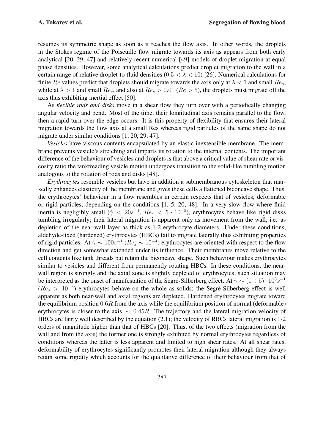resumes its symmetric shape as soon as it reaches the flow axis. In other words, the droplets in the Stokes regime of the Poiseuille flow migrate towards its axis as appears from both early analytical [20, 29, 47] and relatively recent numerical [49] models of droplet migration at equal phase densities. However, some analytical calculations predict droplet migration to the wall in a certain range of relative droplet-to-fluid densities  $(0.5 < \lambda < 10)$  [26]. Numerical calculations for finite Re values predict that droplets should migrate towards the axis only at  $\lambda < 1$  and small  $Re_s$ ; while at  $\lambda > 1$  and small  $Re_s$ , and also at  $Re_s > 0.01$  ( $Re > 5$ ), the droplets must migrate off the axis thus exhibiting inertial effect [50].

As *flexible rods and disks* move in a shear flow they turn over with a periodically changing angular velocity and bend. Most of the time, their longitudinal axis remains parallel to the flow, then a rapid turn over the edge occurs. It is this property of flexibility that ensures their lateral migration towards the flow axis at a small Res whereas rigid particles of the same shape do not migrate under similar conditions [1, 20, 29, 47].

*Vesicles* have viscous contents encapsulated by an elastic inextensible membrane. The membrane prevents vesicle's stretching and imparts its rotation to the internal contents. The important difference of the behaviour of vesicles and droplets is that above a critical value of shear rate or viscosity ratio the tanktreading vesicle motion undergoes transition to the solid-like tumbling motion analogous to the rotation of rods and disks [48].

*Erythrocytes* resemble vesicles but have in addition a submembranous cytoskeleton that markedly enhances elasticity of the membrane and gives these cells a flattened biconcave shape. Thus, the erythrocytes' behaviour in a flow resembles in certain respects that of vesicles, deformable or rigid particles, depending on the conditions [1, 5, 20, 48]. In a very slow flow where fluid inertia is negligibly small ( $\dot{\gamma}$  < 20s<sup>-1</sup>,  $Re_s$  < 5 · 10<sup>-5</sup>), erythrocytes behave like rigid disks tumbling irregularly; their lateral migration is apparent only as movement from the wall, i.e. as depletion of the near-wall layer as thick as 1-2 erythrocyte diameters. Under these conditions, aldehyde-fixed (hardened) erythrocytes (HBCs) fail to migrate laterally thus exhibiting properties of rigid particles. At  $\dot{\gamma} \sim 100s^{-1}$  ( $Re_s \sim 10^{-4}$ ) erythrocytes are oriented with respect to the flow direction and get somewhat extended under its influence. Their membranes move relative to the cell contents like tank threads but retain the biconcave shape. Such behaviour makes erythrocytes similar to vesicles and different from permanently rotating HBCs. In these conditions, the nearwall region is strongly and the axial zone is slightly depleted of erythrocytes; such situation may be interpreted as the onset of manifestation of the Segré-Silberberg effect. At  $\dot{\gamma} \sim (1 \div 5) \cdot 10^3 s^{-1}$  $(Re<sub>s</sub> > 10<sup>-3</sup>)$  erythrocytes behave on the whole as solids; the Segré-Silberberg effect is well apparent as both near-wall and axial regions are depleted. Hardened erythrocytes migrate toward the equilibrium position  $0.6R$  from the axis while the equilibrium position of normal (deformable) erythrocytes is closer to the axis,  $\sim 0.45R$ . The trajectory and the lateral migration velocity of HBCs are fairly well described by the equation (2.1); the velocity of RBCs lateral migration is 1-2 orders of magnitude higher than that of HBCs [20]. Thus, of the two effects (migration from the wall and from the axis) the former one is strongly exhibited by normal erythrocytes regardless of conditions whereas the latter is less apparent and limited to high shear rates. At all shear rates, deformability of erythrocytes significantly promotes their lateral migration although they always retain some rigidity which accounts for the qualitative difference of their behaviour from that of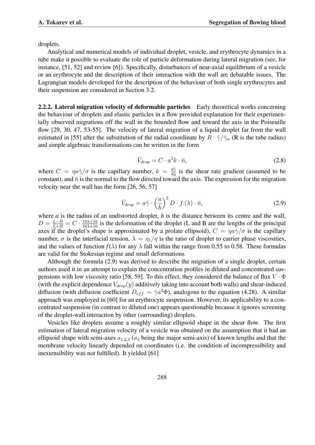droplets.

Analytical and numerical models of individual droplet, vesicle, and erythrocyte dynamics in a tube make it possible to evaluate the role of particle deformation during lateral migration (see, for instance, [51, 52] and review [6]). Specifically, disturbances of near-axial equilibrium of a vesicle or an erythrocyte and the description of their interaction with the wall are debatable issues. The Lagrangian models developed for the description of the behaviour of both single erythrocytes and their suspension are considered in Section 3.2.

2.2.2. Lateral migration velocity of deformable particles Early theoretical works concerning the behaviour of droplets and elastic particles in a flow provided explanation for their experimentally observed migrations off the wall in the bounded flow and toward the axis in the Poiseuille flow [29, 30, 47, 53-55]. The velocity of lateral migration of a liquid droplet far from the wall estimated in [55] after the substitution of the radial coordinate by  $R \cdot \dot{\gamma}/\dot{\gamma}_w$  (R is the tube radius) and simple algebraic transformations can be written in the form

$$
\bar{V}_{drop} = C \cdot a^2 k \cdot \bar{n},\tag{2.8}
$$

where  $C = \eta a \dot{\gamma}/\sigma$  is the capillary number,  $k = \frac{d\dot{\gamma}}{dy}$  is the shear rate gradient (assumed to be constant), and  $\bar{n}$  is the normal to the flow directed toward the axis. The expression for the migration velocity near the wall has the form [26, 56, 57]

$$
\bar{V}_{drop} = a\dot{\gamma} \cdot \left(\frac{a}{h}\right)^2 D \cdot f(\lambda) \cdot \bar{n},\tag{2.9}
$$

where *a* is the radius of an undistorted droplet, *h* is the distance between its centre and the wall,  $D = \frac{L-B}{L+B} = C \cdot \frac{19\lambda+16}{16\lambda+16}$  is the deformation of the droplet (L and B are the lengths of the principal axes if the droplet's shape is approximated by a prolate ellipsoid),  $C = \eta a \dot{\gamma}/\sigma$  is the capillary number,  $\sigma$  is the interfacial tension,  $\lambda = \eta_1/\eta$  is the ratio of droplet to carrier phase viscosities, and the values of function  $f(\lambda)$  for any  $\lambda$  fall within the range from 0.55 to 0.58. These formulas are valid for the Stokesian regime and small deformations.

Although the formula (2.9) was derived to describe the migration of a single droplet, certain authors used it in an attempt to explain the concentration profiles in diluted and concentrated suspensions with low viscosity ratio [58, 59]. To this effect, they considered the balance of flux  $V \cdot \Phi$ (with the explicit dependence  $V_{drop}(y)$  additively taking into account both walls) and shear-induced diffusion (with diffusion coefficient  $D_{eff} \sim \dot{\gamma} a^2 \Phi$ ), analogous to the equation (4.28). A similar approach was employed in [60] for an erythrocyte suspension. However, its applicability to a concentrated suspension (in contrast to diluted one) appears questionable because it ignores screening of the droplet-wall interaction by other (surrounding) droplets.

Vesicles like droplets assume a roughly similar ellipsoid shape in the shear flow. The first estimation of lateral migration velocity of a vesicle was obtained on the assumption that it had an ellipsoid shape with semi-axes  $a_{1,2,3}$  ( $a_3$  being the major semi-axis) of known lengths and that the membrane velocity linearly depended on coordinates (i.e. the condition of incompressibility and inextensibility was not fulfilled). It yielded [61]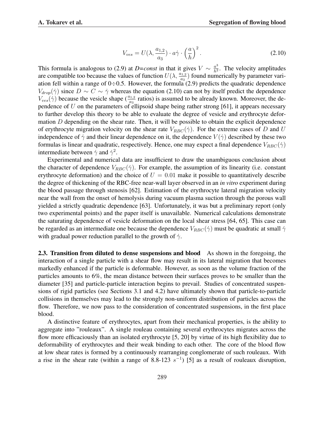$$
V_{ves} = U(\lambda, \frac{a_{1,2}}{a_3}) \cdot a \dot{\gamma} \cdot \left(\frac{a}{h}\right)^2.
$$
 (2.10)

This formula is analogous to (2.9) at *D=const* in that it gives  $V \sim \frac{a^3}{h^2}$  $\frac{a^3}{h^2}$ . The velocity amplitudes are compatible too because the values of function  $U(\lambda, \frac{a_{1,2}}{a_3})$  found numerically by parameter variation fell within a range of  $0\div 0.5$ . However, the formula (2.9) predicts the quadratic dependence  $V_{drop}(\dot{\gamma})$  since  $D \sim C \sim \dot{\gamma}$  whereas the equation (2.10) can not by itself predict the dependence  $V_{ves}(\gamma)$  because the vesicle shape ( $\frac{a_{1,2}}{a_3}$  ratios) is assumed to be already known. Moreover, the dependence of  $U$  on the parameters of ellipsoid shape being rather strong [61], it appears necessary to further develop this theory to be able to evaluate the degree of vesicle and erythrocyte deformation  $D$  depending on the shear rate. Then, it will be possible to obtain the explicit dependence of erythrocyte migration velocity on the shear rate  $V_{RBC}(\dot{\gamma})$ . For the extreme cases of D and U independence of  $\dot{\gamma}$  and their linear dependence on it, the dependence  $V(\dot{\gamma})$  described by these two formulas is linear and quadratic, respectively. Hence, one may expect a final dependence  $V_{RBC}(\dot{\gamma})$ intermediate between  $\dot{\gamma}$  and  $\dot{\gamma}^2$ .

Experimental and numerical data are insufficient to draw the unambiguous conclusion about the character of dependence  $V_{RBC}(\dot{\gamma})$ . For example, the assumption of its linearity (i.e. constant erythrocyte deformation) and the choice of  $U = 0.01$  make it possible to quantitatively describe the degree of thickening of the RBC-free near-wall layer observed in an *in vitro* experiment during the blood passage through stenosis [62]. Estimation of the erythrocyte lateral migration velocity near the wall from the onset of hemolysis during vacuum plasma suction through the porous wall yielded a strictly quadratic dependence [63]. Unfortunately, it was but a preliminary report (only two experimental points) and the paper itself is unavailable. Numerical calculations demonstrate the saturating dependence of vesicle deformation on the local shear stress [64, 65]. This case can be regarded as an intermediate one because the dependence  $V_{RBC}(\dot{\gamma})$  must be quadratic at small  $\dot{\gamma}$ with gradual power reduction parallel to the growth of  $\dot{\gamma}$ .

2.3. Transition from diluted to dense suspensions and blood As shown in the foregoing, the interaction of a single particle with a shear flow may result in its lateral migration that becomes markedly enhanced if the particle is deformable. However, as soon as the volume fraction of the particles amounts to 6%, the mean distance between their surfaces proves to be smaller than the diameter [35] and particle-particle interaction begins to prevail. Studies of concentrated suspensions of rigid particles (see Sections 3.1 and 4.2) have ultimately shown that particle-to-particle collisions in themselves may lead to the strongly non-uniform distribution of particles across the flow. Therefore, we now pass to the consideration of concentrated suspensions, in the first place blood.

A distinctive feature of erythrocytes, apart from their mechanical properties, is the ability to aggregate into "rouleaux". A single rouleau containing several erythrocytes migrates across the flow more efficaciously than an isolated erythrocyte [5, 20] by virtue of its high flexibility due to deformability of erythrocytes and their weak binding to each other. The core of the blood flow at low shear rates is formed by a continuously rearranging conglomerate of such rouleaux. With a rise in the shear rate (within a range of 8.8-123  $s^{-1}$ ) [5] as a result of rouleaux disruption,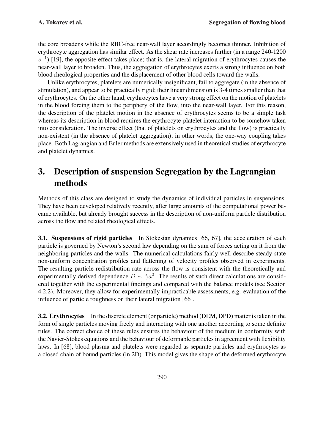the core broadens while the RBC-free near-wall layer accordingly becomes thinner. Inhibition of erythrocyte aggregation has similar effect. As the shear rate increases further (in a range 240-1200  $s^{-1}$ ) [19], the opposite effect takes place; that is, the lateral migration of erythrocytes causes the near-wall layer to broaden. Thus, the aggregation of erythrocytes exerts a strong influence on both blood rheological properties and the displacement of other blood cells toward the walls.

Unlike erythrocytes, platelets are numerically insignificant, fail to aggregate (in the absence of stimulation), and appear to be practically rigid; their linear dimension is 3-4 times smaller than that of erythrocytes. On the other hand, erythrocytes have a very strong effect on the motion of platelets in the blood forcing them to the periphery of the flow, into the near-wall layer. For this reason, the description of the platelet motion in the absence of erythrocytes seems to be a simple task whereas its description in blood requires the erythrocyte-platelet interaction to be somehow taken into consideration. The inverse effect (that of platelets on erythrocytes and the flow) is practically non-existent (in the absence of platelet aggregation); in other words, the one-way coupling takes place. Both Lagrangian and Euler methods are extensively used in theoretical studies of erythrocyte and platelet dynamics.

# 3. Description of suspension Segregation by the Lagrangian methods

Methods of this class are designed to study the dynamics of individual particles in suspensions. They have been developed relatively recently, after large amounts of the computational power became available, but already brought success in the description of non-uniform particle distribution across the flow and related rheological effects.

3.1. Suspensions of rigid particles In Stokesian dynamics [66, 67], the acceleration of each particle is governed by Newton's second law depending on the sum of forces acting on it from the neighboring particles and the walls. The numerical calculations fairly well describe steady-state non-uniform concentration profiles and flattening of velocity profiles observed in experiments. The resulting particle redistribution rate across the flow is consistent with the theoretically and experimentally derived dependence  $D \sim \dot{\gamma} a^2$ . The results of such direct calculations are considered together with the experimental findings and compared with the balance models (see Section 4.2.2). Moreover, they allow for experimentally impracticable assessments, e.g. evaluation of the influence of particle roughness on their lateral migration [66].

3.2. Erythrocytes In the discrete element (or particle) method (DEM, DPD) matter is taken in the form of single particles moving freely and interacting with one another according to some definite rules. The correct choice of these rules ensures the behaviour of the medium in conformity with the Navier-Stokes equations and the behaviour of deformable particles in agreement with flexibility laws. In [68], blood plasma and platelets were regarded as separate particles and erythrocytes as a closed chain of bound particles (in 2D). This model gives the shape of the deformed erythrocyte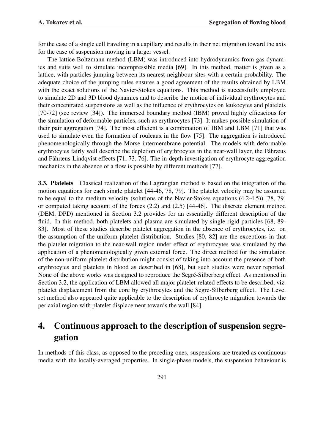for the case of a single cell traveling in a capillary and results in their net migration toward the axis for the case of suspension moving in a larger vessel.

The lattice Boltzmann method (LBM) was introduced into hydrodynamics from gas dynamics and suits well to simulate incompressible media [69]. In this method, matter is given as a lattice, with particles jumping between its nearest-neighbour sites with a certain probability. The adequate choice of the jumping rules ensures a good agreement of the results obtained by LBM with the exact solutions of the Navier-Stokes equations. This method is successfully employed to simulate 2D and 3D blood dynamics and to describe the motion of individual erythrocytes and their concentrated suspensions as well as the influence of erythrocytes on leukocytes and platelets [70-72] (see review [34]). The immersed boundary method (IBM) proved highly efficacious for the simulation of deformable particles, such as erythrocytes [73]. It makes possible simulation of their pair aggregation [74]. The most efficient is a combination of IBM and LBM [71] that was used to simulate even the formation of rouleaux in the flow [75]. The aggregation is introduced phenomenologically through the Morse intermembrane potential. The models with deformable erythrocytes fairly well describe the depletion of erythrocytes in the near-wall layer, the Fåhræus and Fåhræus-Lindqvist effects [71, 73, 76]. The in-depth investigation of erythrocyte aggregation mechanics in the absence of a flow is possible by different methods [77].

3.3. Platelets Classical realization of the Lagrangian method is based on the integration of the motion equations for each single platelet [44-46, 78, 79]. The platelet velocity may be assumed to be equal to the medium velocity (solutions of the Navier-Stokes equations (4.2-4.5)) [78, 79] or computed taking account of the forces (2.2) and (2.5) [44-46]. The discrete element method (DEM, DPD) mentioned in Section 3.2 provides for an essentially different description of the fluid. In this method, both platelets and plasma are simulated by single rigid particles [68, 89- 83]. Most of these studies describe platelet aggregation in the absence of erythrocytes, i.e. on the assumption of the uniform platelet distribution. Studies [80, 82] are the exceptions in that the platelet migration to the near-wall region under effect of erythrocytes was simulated by the application of a phenomenologically given external force. The direct method for the simulation of the non-uniform platelet distribution might consist of taking into account the presence of both erythrocytes and platelets in blood as described in [68], but such studies were never reported. None of the above works was designed to reproduce the Segré-Silberberg effect. As mentioned in Section 3.2, the application of LBM allowed all major platelet-related effects to be described; viz. platelet displacement from the core by erythrocytes and the Segre-Silberberg effect. The Level ´ set method also appeared quite applicable to the description of erythrocyte migration towards the periaxial region with platelet displacement towards the wall [84].

# 4. Continuous approach to the description of suspension segregation

In methods of this class, as opposed to the preceding ones, suspensions are treated as continuous media with the locally-averaged properties. In single-phase models, the suspension behaviour is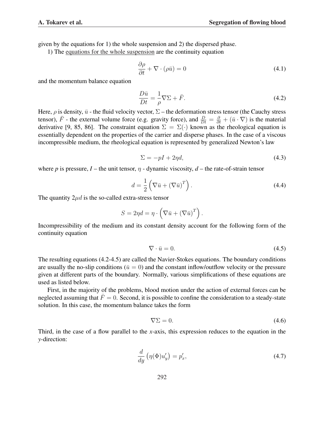given by the equations for 1) the whole suspension and 2) the dispersed phase.

1) The equations for the whole suspension are the continuity equation

$$
\frac{\partial \rho}{\partial t} + \nabla \cdot (\rho \bar{u}) = 0 \tag{4.1}
$$

and the momentum balance equation

$$
\frac{D\bar{u}}{Dt} = -\frac{1}{\rho}\nabla\Sigma + \bar{F}.\tag{4.2}
$$

Here,  $\rho$  is density,  $\bar{u}$  - the fluid velocity vector,  $\Sigma$  – the deformation stress tensor (the Cauchy stress tensor),  $\bar{F}$  - the external volume force (e.g. gravity force), and  $\frac{D}{Dt} = \frac{\partial}{\partial t} + (\bar{u} \cdot \nabla)$  is the material derivative [9, 85, 86]. The constraint equation  $\Sigma = \Sigma(\cdot)$  known as the rheological equation is essentially dependent on the properties of the carrier and disperse phases. In the case of a viscous incompressible medium, the rheological equation is represented by generalized Newton's law

$$
\Sigma = -pI + 2\eta d,\tag{4.3}
$$

where *p* is pressure, *I* – the unit tensor,  $\eta$  - dynamic viscosity, *d* – the rate-of-strain tensor

$$
d = \frac{1}{2} \left( \nabla \bar{u} + (\nabla \bar{u})^T \right).
$$
 (4.4)

The quantity  $2\mu d$  is the so-called extra-stress tensor

$$
S = 2\eta d = \eta \cdot \left(\nabla \bar{u} + (\nabla \bar{u})^T\right).
$$

Incompressibility of the medium and its constant density account for the following form of the continuity equation

$$
\nabla \cdot \bar{u} = 0. \tag{4.5}
$$

The resulting equations (4.2-4.5) are called the Navier-Stokes equations. The boundary conditions are usually the no-slip conditions ( $\bar{u} = 0$ ) and the constant inflow/outflow velocity or the pressure given at different parts of the boundary. Normally, various simplifications of these equations are used as listed below.

First, in the majority of the problems, blood motion under the action of external forces can be neglected assuming that  $\bar{F} = 0$ . Second, it is possible to confine the consideration to a steady-state solution. In this case, the momentum balance takes the form

$$
\nabla \Sigma = 0. \tag{4.6}
$$

Third, in the case of a flow parallel to the *x*-axis, this expression reduces to the equation in the *y*-direction:

$$
\frac{d}{dy}\left(\eta(\Phi)u_y'\right) = p_x',\tag{4.7}
$$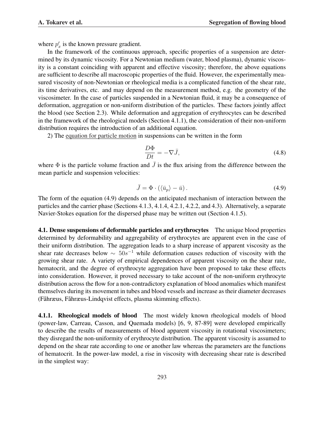where  $p'_x$  is the known pressure gradient.

In the framework of the continuous approach, specific properties of a suspension are determined by its dynamic viscosity. For a Newtonian medium (water, blood plasma), dynamic viscosity is a constant coinciding with apparent and effective viscosity; therefore, the above equations are sufficient to describe all macroscopic properties of the fluid. However, the experimentally measured viscosity of non-Newtonian or rheological media is a complicated function of the shear rate, its time derivatives, etc. and may depend on the measurement method, e.g. the geometry of the viscosimeter. In the case of particles suspended in a Newtonian fluid, it may be a consequence of deformation, aggregation or non-uniform distribution of the particles. These factors jointly affect the blood (see Section 2.3). While deformation and aggregation of erythrocytes can be described in the framework of the rheological models (Section 4.1.1), the consideration of their non-uniform distribution requires the introduction of an additional equation.

2) The equation for particle motion in suspensions can be written in the form

$$
\frac{D\Phi}{Dt} = -\nabla \bar{J},\tag{4.8}
$$

where  $\Phi$  is the particle volume fraction and  $\bar{J}$  is the flux arising from the difference between the mean particle and suspension velocities:

$$
\bar{J} = \Phi \cdot (\langle \bar{u}_p \rangle - \bar{u}). \tag{4.9}
$$

The form of the equation (4.9) depends on the anticipated mechanism of interaction between the particles and the carrier phase (Sections 4.1.3, 4.1.4, 4.2.1, 4.2.2, and 4.3). Alternatively, a separate Navier-Stokes equation for the dispersed phase may be written out (Section 4.1.5).

4.1. Dense suspensions of deformable particles and erythrocytes The unique blood properties determined by deformability and aggregability of erythrocytes are apparent even in the case of their uniform distribution. The aggregation leads to a sharp increase of apparent viscosity as the shear rate decreases below  $\sim 50s^{-1}$  while deformation causes reduction of viscosity with the growing shear rate. A variety of empirical dependences of apparent viscosity on the shear rate, hematocrit, and the degree of erythrocyte aggregation have been proposed to take these effects into consideration. However, it proved necessary to take account of the non-uniform erythrocyte distribution across the flow for a non-contradictory explanation of blood anomalies which manifest themselves during its movement in tubes and blood vessels and increase as their diameter decreases (Fåhræus, Fåhræus-Lindqvist effects, plasma skimming effects).

4.1.1. Rheological models of blood The most widely known rheological models of blood (power-law, Carreau, Casson, and Quemada models) [6, 9, 87-89] were developed empirically to describe the results of measurements of blood apparent viscosity in rotational viscosimeters; they disregard the non-uniformity of erythrocyte distribution. The apparent viscosity is assumed to depend on the shear rate according to one or another law whereas the parameters are the functions of hematocrit. In the power-law model, a rise in viscosity with decreasing shear rate is described in the simplest way: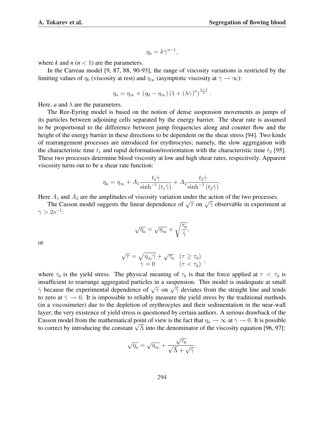.

,

$$
\eta_a = k \dot{\gamma}^{n-1},
$$

where  $k$  and  $n (n < 1)$  are the parameters.

In the Carreau model [9, 87, 88, 90-93], the range of viscosity variations is restricted by the limiting values of  $\eta_0$  (viscosity at rest) and  $\eta_\infty$  (asymptotic viscosity at  $\dot{\gamma} \to \infty$ ):

$$
\eta_a = \eta_\infty + (\eta_0 - \eta_\infty) \left(1 + (\lambda \dot{\gamma})^a\right)^{\frac{n-1}{a}}.
$$

Here, *a* and  $\lambda$  are the parameters.

The Ree-Eyring model is based on the notion of dense suspension movements as jumps of its particles between adjoining cells separated by the energy barrier. The shear rate is assumed to be proportional to the difference between jump frequencies along and counter flow and the height of the energy barrier in these directions to be dependent on the shear stress [94]. Two kinds of rearrangement processes are introduced for erythrocytes; namely, the slow aggregation with the characteristic time  $t_1$  and rapid deformation/reorientation with the characteristic time  $t_2$  [95]. These two processes determine blood viscosity at low and high shear rates, respectively. Apparent viscosity turns out to be a shear rate function:

$$
\eta_a = \eta_{\infty} + A_1 \frac{t_1 \dot{\gamma}}{\sinh^{-1}(t_1 \dot{\gamma})} + A_2 \frac{t_2 \dot{\gamma}}{\sinh^{-1}(t_2 \dot{\gamma})}
$$

Here  $A_1$  and  $A_2$  are the amplitudes of viscosity variation under the action of the two processes.

 $\epsilon$   $A_1$  and  $A_2$  are the amphitudes of viscosity variation under the action of the two processes.<br>The Casson model suggests the linear dependence of  $\sqrt{\tau}$  on  $\sqrt{\gamma}$  observable in experiment at  $\dot{\gamma} > 2s^{-1}$ :

$$
\sqrt{\eta_a} = \sqrt{\eta_{\infty}} + \sqrt{\frac{\tau_0}{\dot{\gamma}}},
$$

or

$$
\sqrt{\tau} = \sqrt{\eta_{\infty}\dot{\gamma}} + \sqrt{\tau_0} \quad (\tau \ge \tau_0)
$$

$$
\dot{\gamma} = 0 \qquad (\tau < \tau_0)
$$

where  $\tau_0$  is the yield stress. The physical meaning of  $\tau_0$  is that the force applied at  $\tau < \tau_0$  is insufficient to rearrange aggregated particles in a suspension. This model is inadequate at small misumcient to rearrange aggregated particles in a suspension. This model is madequate at small  $\dot{\gamma}$  because the experimental dependence of  $\sqrt{\tau}$  on  $\sqrt{\dot{\gamma}}$  deviates from the straight line and tends to zero at  $\dot{\gamma} \to 0$ . It is impossible to reliably measure the yield stress by the traditional methods (in a viscosimeter) due to the depletion of erythrocytes and their sedimentation in the near-wall layer; the very existence of yield stress is questioned by certain authors. A serious drawback of the Casson model from the mathematical point of view is the fact that  $\eta_a \to \infty$  at  $\dot{\gamma} \to 0$ . It is possible Casson model from the mathematical point of view is the fact that  $\eta_a \to \infty$  at  $\gamma \to 0$ . It is possible to correct by introducing the constant  $\sqrt{\Lambda}$  into the denominator of the viscosity equation [96, 97]:

$$
\sqrt{\eta_a} = \sqrt{\eta_{\infty}} + \frac{\sqrt{\tau_0}}{\sqrt{\Lambda} + \sqrt{\gamma}}.
$$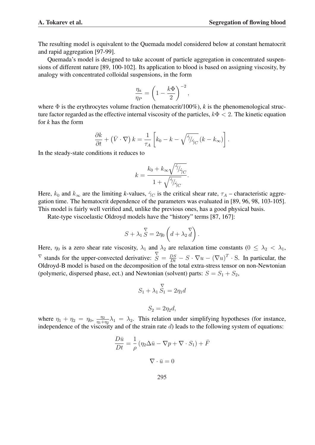The resulting model is equivalent to the Quemada model considered below at constant hematocrit and rapid aggregation [97-99].

Quemada's model is designed to take account of particle aggregation in concentrated suspensions of different nature [89, 100-102]. Its application to blood is based on assigning viscosity, by analogy with concentrated colloidal suspensions, in the form

$$
\frac{\eta_a}{\eta_P} = \left(1 - \frac{k\Phi}{2}\right)^{-2},
$$

where  $\Phi$  is the erythrocytes volume fraction (hematocrit/100%), *k* is the phenomenological structure factor regarded as the effective internal viscosity of the particles,  $k\Phi < 2$ . The kinetic equation for *k* has the form

$$
\frac{\partial k}{\partial t} + (\bar{V} \cdot \nabla) k = \frac{1}{\tau_A} \left[ k_0 - k - \sqrt{\dot{\gamma}/\dot{\gamma}_C} (k - k_\infty) \right].
$$

In the steady-state conditions it reduces to

$$
k = \frac{k_0 + k_{\infty} \sqrt{\gamma_{\gamma_{C}}}}{1 + \sqrt{\gamma_{\gamma_{C}}}}.
$$

Here,  $k_0$  and  $k_{\infty}$  are the limiting *k*-values,  $\dot{\gamma}_C$  is the critical shear rate,  $\tau_A$  – characteristic aggregation time. The hematocrit dependence of the parameters was evaluated in [89, 96, 98, 103-105]. This model is fairly well verified and, unlike the previous ones, has a good physical basis.

Rate-type viscoelastic Oldroyd models have the "history" terms [87, 167]:

$$
S + \lambda_1 \mathop{\stackrel{\nabla}{S}} = 2\eta_0 \left( d + \lambda_2 \mathop{\stackrel{\nabla}{d}} \right).
$$

Here,  $\eta_0$  is a zero shear rate viscosity,  $\lambda_1$  and  $\lambda_2$  are relaxation time constants  $(0 \leq \lambda_2 < \lambda_1)$ ,  $\overline{V}$  stands for the upper-convected derivative:  $\overline{S} = \frac{DS}{Dt} - S \cdot \nabla u - (\nabla u)^T \cdot S$ . In particular, the Oldroyd-B model is based on the decomposition of the total extra-stress tensor on non-Newtonian (polymeric, dispersed phase, ect.) and Newtonian (solvent) parts:  $S = S_1 + S_2$ ,

$$
S_1 + \lambda_1 \mathop{S_1}_{\mathop{}}^{\nabla} = 2\eta_1 d
$$

$$
S_2=2\eta_2d,
$$

where  $\eta_1 + \eta_2 = \eta_0$ ,  $\frac{\eta_2}{n_1 + \eta_1}$  $\frac{\eta_2}{\eta_1+\eta_2}\lambda_1 = \lambda_2$ . This relation under simplifying hypotheses (for instance, independence of the viscosity and of the strain rate  $d$ ) leads to the following system of equations:

$$
\frac{D\bar{u}}{Dt} = \frac{1}{\rho} \left( \eta_2 \Delta \bar{u} - \nabla p + \nabla \cdot S_1 \right) + \bar{F}
$$

$$
\nabla \cdot \bar{u} = 0
$$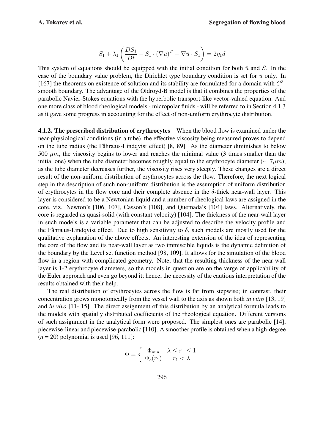$$
S_1 + \lambda_1 \left( \frac{DS_1}{Dt} - S_1 \cdot (\nabla \bar{u})^T - \nabla \bar{u} \cdot S_1 \right) = 2\eta_1 d
$$

This system of equations should be equipped with the initial condition for both  $\bar{u}$  and S. In the case of the boundary value problem, the Dirichlet type boundary condition is set for  $\bar{u}$  only. In [167] the theorems on existence of solution and its stability are formulated for a domain with  $C<sup>3</sup>$ smooth boundary. The advantage of the Oldroyd-B model is that it combines the properties of the parabolic Navier-Stokes equations with the hyperbolic transport-like vector-valued equation. And one more class of blood rheological models - micropolar fluids - will be referred to in Section 4.1.3 as it gave some progress in accounting for the effect of non-uniform erythrocyte distribution.

4.1.2. The prescribed distribution of erythrocytes When the blood flow is examined under the near-physiological conditions (in a tube), the effective viscosity being measured proves to depend on the tube radius (the Fåhræus-Lindqvist effect) [8, 89]. As the diameter diminishes to below 500  $\mu$ m, the viscosity begins to lower and reaches the minimal value (3 times smaller than the initial one) when the tube diameter becomes roughly equal to the erythrocyte diameter ( $\sim 7 \mu m$ ); as the tube diameter decreases further, the viscosity rises very steeply. These changes are a direct result of the non-uniform distribution of erythrocytes across the flow. Therefore, the next logical step in the description of such non-uniform distribution is the assumption of uniform distribution of erythrocytes in the flow core and their complete absence in the δ*-*thick near-wall layer. This layer is considered to be a Newtonian liquid and a number of rheological laws are assigned in the core, viz. Newton's [106, 107], Casson's [108], and Quemada's [104] laws. Alternatively, the core is regarded as quasi-solid (with constant velocity) [104]. The thickness of the near-wall layer in such models is a variable parameter that can be adjusted to describe the velocity profile and the Fåhræus-Lindqvist effect. Due to high sensitivity to  $\delta$ , such models are mostly used for the qualitative explanation of the above effects. An interesting extension of the idea of representing the core of the flow and its near-wall layer as two immiscible liquids is the dynamic definition of the boundary by the Level set function method [98, 109]. It allows for the simulation of the blood flow in a region with complicated geometry. Note, that the resulting thickness of the near-wall layer is 1-2 erythrocyte diameters, so the models in question are on the verge of applicability of the Euler approach and even go beyond it; hence, the necessity of the cautious interpretation of the results obtained with their help.

The real distribution of erythrocytes across the flow is far from stepwise; in contrast, their concentration grows monotonically from the vessel wall to the axis as shown both *in vitro* [13, 19] and *in vivo* [11- 15]. The direct assignment of this distribution by an analytical formula leads to the models with spatially distributed coefficients of the rheological equation. Different versions of such assignment in the analytical form were proposed. The simplest ones are parabolic [14], piecewise-linear and piecewise-parabolic [110]. A smoother profile is obtained when a high-degree  $(n = 20)$  polynomial is used [96, 111]:

$$
\Phi = \begin{cases} \Phi_{\min} & \lambda \le r_1 \le 1 \\ \Phi_c(r_1) & r_1 < \lambda \end{cases}
$$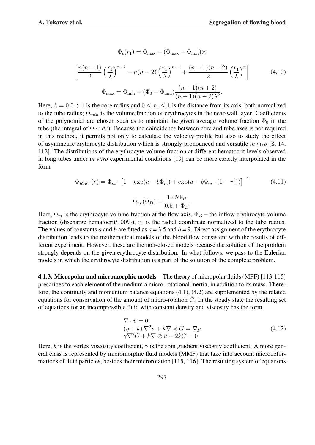$$
\Phi_c(r_1) = \Phi_{\text{max}} - (\Phi_{\text{max}} - \Phi_{\text{min}}) \times
$$
\n
$$
\left[ \frac{n(n-1)}{2} \left( \frac{r_1}{\lambda} \right)^{n-2} - n(n-2) \left( \frac{r_1}{\lambda} \right)^{n-1} + \frac{(n-1)(n-2)}{2} \left( \frac{r_1}{\lambda} \right)^n \right]
$$
\n
$$
\Phi_{\text{max}} = \Phi_{\text{min}} + (\Phi_0 - \Phi_{\text{min}}) \frac{(n+1)(n+2)}{(n-1)(n-2)\lambda^2}.
$$
\n(4.10)

Here,  $\lambda = 0.5 \div 1$  is the core radius and  $0 \le r_1 \le 1$  is the distance from its axis, both normalized to the tube radius;  $\Phi_{min}$  is the volume fraction of erythrocytes in the near-wall layer. Coefficients of the polynomial are chosen such as to maintain the given average volume fraction  $\Phi_0$  in the tube (the integral of  $\Phi \cdot r dr$ ). Because the coincidence between core and tube axes is not required in this method, it permits not only to calculate the velocity profile but also to study the effect of asymmetric erythrocyte distribution which is strongly pronounced and versatile *in vivo* [8, 14, 112]. The distributions of the erythrocyte volume fraction at different hematocrit levels observed in long tubes under *in vitro* experimental conditions [19] can be more exactly interpolated in the form

$$
\Phi_{RBC}(r) = \Phi_m \cdot \left[1 - \exp(a - b\Phi_m) + \exp(a - b\Phi_m \cdot (1 - r_1^2))\right]^{-1}
$$
(4.11)  

$$
\Phi_m(\Phi_D) = \frac{1.45\Phi_D}{0.5 + \Phi_D}.
$$

Here,  $\Phi_m$  is the erythrocyte volume fraction at the flow axis,  $\Phi_D$  – the inflow erythrocyte volume fraction (discharge hematocrit/100%),  $r_1$  is the radial coordinate normalized to the tube radius. The values of constants *a* and *b* are fitted as  $a = 3.5$  and  $b = 9$ . Direct assignment of the erythrocyte distribution leads to the mathematical models of the blood flow consistent with the results of different experiment. However, these are the non-closed models because the solution of the problem strongly depends on the given erythrocyte distribution. In what follows, we pass to the Eulerian models in which the erythrocyte distribution is a part of the solution of the complete problem.

4.1.3. Micropolar and micromorphic models The theory of micropolar fluids (MPF) [113-115] prescribes to each element of the medium a micro-rotational inertia, in addition to its mass. Therefore, the continuity and momentum balance equations (4.1), (4.2) are supplemented by the related equations for conservation of the amount of micro-rotation  $\overline{G}$ . In the steady state the resulting set of equations for an incompressible fluid with constant density and viscosity has the form

$$
\nabla \cdot \bar{u} = 0(\eta + k) \nabla^2 \bar{u} + k \nabla \otimes \bar{G} = \nabla p\gamma \nabla^2 \bar{G} + k \nabla \otimes \bar{u} - 2k \bar{G} = 0
$$
\n(4.12)

Here, *k* is the vortex viscosity coefficient,  $\gamma$  is the spin gradient viscosity coefficient. A more general class is represented by micromorphic fluid models (MMF) that take into account microdeformations of fluid particles, besides their microrotation [115, 116]. The resulting system of equations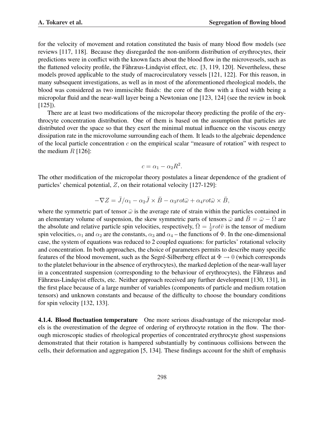for the velocity of movement and rotation constituted the basis of many blood flow models (see reviews [117, 118]. Because they disregarded the non-uniform distribution of erythrocytes, their predictions were in conflict with the known facts about the blood flow in the microvessels, such as the flattened velocity profile, the Fåhræus-Lindqvist effect, etc.  $[3, 119, 120]$ . Nevertheless, these models proved applicable to the study of macrocirculatory vessels [121, 122]. For this reason, in many subsequent investigations, as well as in most of the aforementioned rheological models, the blood was considered as two immiscible fluids: the core of the flow with a fixed width being a micropolar fluid and the near-wall layer being a Newtonian one [123, 124] (see the review in book  $[125]$ ).

There are at least two modifications of the micropolar theory predicting the profile of the erythrocyte concentration distribution. One of them is based on the assumption that particles are distributed over the space so that they exert the minimal mutual influence on the viscous energy dissipation rate in the microvolume surrounding each of them. It leads to the algebraic dependence of the local particle concentration  $c$  on the empirical scalar "measure of rotation" with respect to the medium  $R$  [126]:

$$
c = \alpha_1 - \alpha_2 R^2.
$$

The other modification of the micropolar theory postulates a linear dependence of the gradient of particles' chemical potential, Z, on their rotational velocity [127-129]:

$$
-\nabla Z = \bar{J}/\alpha_1 - \alpha_2 \bar{J} \times \bar{B} - \alpha_3 rot \bar{\omega} + \alpha_4 rot \bar{\omega} \times \bar{B},
$$

where the symmetric part of tensor  $\bar{\omega}$  is the average rate of strain within the particles contained in an elementary volume of suspension, the skew symmetric parts of tensors  $\bar{\omega}$  and  $\bar{B} = \bar{\omega} - \bar{\Omega}$  are the absolute and relative particle spin velocities, respectively,  $\overline{\Omega} = \frac{1}{2} rot\overline{v}$  is the tensor of medium spin velocities,  $\alpha_1$  and  $\alpha_2$  are the constants,  $\alpha_3$  and  $\alpha_4$  – the functions of  $\Phi$ . In the one-dimensional case, the system of equations was reduced to 2 coupled equations: for particles' rotational velocity and concentration. In both approaches, the choice of parameters permits to describe many specific features of the blood movement, such as the Segré-Silberberg effect at  $\Phi \rightarrow 0$  (which corresponds to the platelet behaviour in the absence of erythrocytes), the marked depletion of the near-wall layer in a concentrated suspension (corresponding to the behaviour of erythrocytes), the Fahræus and Fåhræus-Lindqvist effects, etc. Neither approach received any further development [130, 131], in the first place because of a large number of variables (components of particle and medium rotation tensors) and unknown constants and because of the difficulty to choose the boundary conditions for spin velocity [132, 133].

4.1.4. Blood fluctuation temperature One more serious disadvantage of the micropolar models is the overestimation of the degree of ordering of erythrocyte rotation in the flow. The thorough microscopic studies of rheological properties of concentrated erythrocyte ghost suspensions demonstrated that their rotation is hampered substantially by continuous collisions between the cells, their deformation and aggregation [5, 134]. These findings account for the shift of emphasis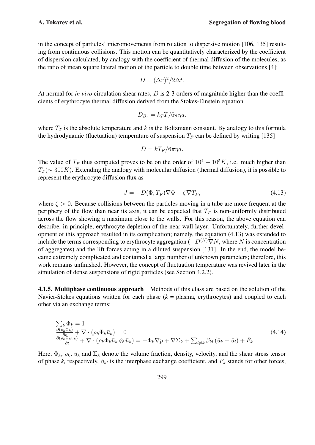in the concept of particles' micromovements from rotation to dispersive motion [106, 135] resulting from continuous collisions. This motion can be quantitatively characterized by the coefficient of dispersion calculated, by analogy with the coefficient of thermal diffusion of the molecules, as the ratio of mean square lateral motion of the particle to double time between observations [4]:

$$
D = (\Delta r)^2 / 2\Delta t.
$$

At normal for *in vivo* circulation shear rates, D is 2-3 orders of magnitude higher than the coefficients of erythrocyte thermal diffusion derived from the Stokes-Einstein equation

$$
D_{Br} = k_T T / 6\pi \eta a.
$$

where  $T_T$  is the absolute temperature and k is the Boltzmann constant. By analogy to this formula the hydrodynamic (fluctuation) temperature of suspension  $T_F$  can be defined by writing [135]

$$
D = kT_F/6\pi\eta a.
$$

The value of  $T_F$  thus computed proves to be on the order of  $10^4 - 10^5 K$ , i.e. much higher than  $T_T$ ( $\sim$  300K). Extending the analogy with molecular diffusion (thermal diffusion), it is possible to represent the erythrocyte diffusion flux as

$$
J = -D(\Phi, T_F)\nabla\Phi - \zeta\nabla T_F,\tag{4.13}
$$

where  $\zeta > 0$ . Because collisions between the particles moving in a tube are more frequent at the periphery of the flow than near its axis, it can be expected that  $T_F$  is non-uniformly distributed across the flow showing a maximum close to the walls. For this reason, the above equation can describe, in principle, erythrocyte depletion of the near-wall layer. Unfortunately, further development of this approach resulted in its complication; namely, the equation (4.13) was extended to include the terms corresponding to erythrocyte aggregation  $(-D^{(N)}\nabla N$ , where N is concentration of aggregates) and the lift forces acting in a diluted suspension [131]. In the end, the model became extremely complicated and contained a large number of unknown parameters; therefore, this work remains unfinished. However, the concept of fluctuation temperature was revived later in the simulation of dense suspensions of rigid particles (see Section 4.2.2).

4.1.5. Multiphase continuous approach Methods of this class are based on the solution of the Navier-Stokes equations written for each phase  $(k =$  plasma, erythrocytes) and coupled to each other via an exchange terms:

$$
\sum_{\substack{\partial(\rho_k \Phi_k) \\ \partial t \\ \partial t}} \Phi_k = 1
$$
\n
$$
\frac{\partial(\rho_k \Phi_k)}{\partial t} + \nabla \cdot (\rho_k \Phi_k \bar{u}_k) = 0
$$
\n
$$
\frac{\partial(\rho_k \Phi_k \bar{u}_k)}{\partial t} + \nabla \cdot (\rho_k \Phi_k \bar{u}_k \otimes \bar{u}_k) = -\Phi_k \nabla p + \nabla \Sigma_k + \sum_{l \neq k} \beta_{kl} (\bar{u}_k - \bar{u}_l) + \bar{F}_k
$$
\n(4.14)

Here,  $\Phi_k$ ,  $\rho_k$ ,  $\bar{u}_k$  and  $\Sigma_k$  denote the volume fraction, density, velocity, and the shear stress tensor of phase *k*, respectively,  $\beta_{kl}$  is the interphase exchange coefficient, and  $\bar{F}_k$  stands for other forces,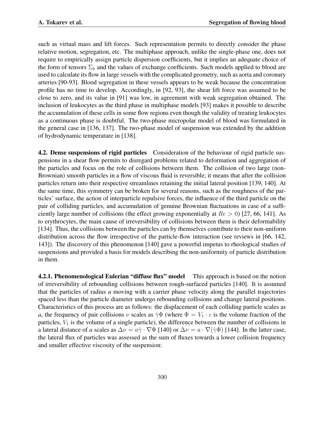such as virtual mass and lift forces. Such representation permits to directly consider the phase relative motion, segregation, etc. The multiphase approach, unlike the single-phase one, does not require to empirically assign particle dispersion coefficients, but it implies an adequate choice of the form of tensors  $\Sigma_k$  and the values of exchange coefficients. Such models applied to blood are used to calculate its flow in large vessels with the complicated geometry, such as aorta and coronary arteries [90-93]. Blood segregation in these vessels appears to be weak because the concentration profile has no time to develop. Accordingly, in [92, 93], the shear lift force was assumed to be close to zero, and its value in [91] was low, in agreement with weak segregation obtained. The inclusion of leukocytes as the third phase in multiphase models [93] makes it possible to describe the accumulation of these cells in some flow regions even though the validity of treating leukocytes as a continuous phase is doubtful. The two-phase micropolar model of blood was formulated in the general case in [136, 137]. The two-phase model of suspension was extended by the addition of hydrodynamic temperature in [138].

4.2. Dense suspensions of rigid particles Consideration of the behaviour of rigid particle suspensions in a shear flow permits to disregard problems related to deformation and aggregation of the particles and focus on the role of collisions between them. The collision of two large (non-Brownian) smooth particles in a flow of viscous fluid is reversible; it means that after the collision particles return into their respective streamlines retaining the initial lateral position [139, 140]. At the same time, this symmetry can be broken for several reasons, such as the roughness of the particles' surface, the action of interparticle repulsive forces, the influence of the third particle on the pair of colliding particles, and accumulation of genuine Brownian fluctuations in case of a sufficiently large number of collisions (the effect growing exponentially at  $Re > 0$ ) [27, 66, 141]. As to erythrocytes, the main cause of irreversibility of collisions between them is their deformability [134]. Thus, the collisions between the particles can by themselves contribute to their non-uniform distribution across the flow irrespective of the particle-flow interaction (see reviews in [66, 142, 143]). The discovery of this phenomenon [140] gave a powerful impetus to rheological studies of suspensions and provided a basis for models describing the non-uniformity of particle distribution in them.

4.2.1. Phenomenological Eulerian "diffuse flux" model This approach is based on the notion of irreversibility of rebounding collisions between rough-surfaced particles [140]. It is assumed that the particles of radius *a* moving with a carrier phase velocity along the parallel trajectories spaced less than the particle diameter undergo rebounding collisions and change lateral positions. Characteristics of this process are as follows: the displacement of each colliding particle scales as *a*, the frequency of pair collisions  $\nu$  scales as  $\dot{\gamma}\Phi$  (where  $\Phi = V_1 \cdot c$  is the volume fraction of the particles,  $V_1$  is the volume of a single particle), the difference between the number of collisions in a lateral distance of *a* scales as  $\Delta \nu = a\dot{\gamma} \cdot \nabla \Phi$  [140] or  $\Delta \nu = a \cdot \nabla (\dot{\gamma} \Phi)$  [144]. In the latter case, the lateral flux of particles was assessed as the sum of fluxes towards a lower collision frequency and smaller effective viscosity of the suspension: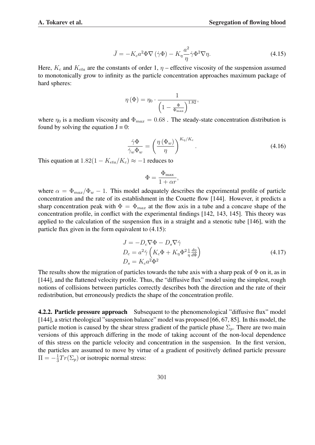$$
\bar{J} = -K_c a^2 \Phi \nabla (\dot{\gamma} \Phi) - K_\eta \frac{a^2}{\eta} \dot{\gamma} \Phi^2 \nabla \eta.
$$
 (4.15)

Here,  $K_c$  and  $K_{eta}$  are the constants of order 1,  $\eta$  – effective viscosity of the suspension assumed to monotonically grow to infinity as the particle concentration approaches maximum package of hard spheres:

$$
\eta\left(\Phi\right) = \eta_0 \cdot \frac{1}{\left(1 - \frac{\Phi}{\Phi_{\text{max}}}\right)^{1.82}},
$$

where  $\eta_0$  is a medium viscosity and  $\Phi_{max} = 0.68$ . The steady-state concentration distribution is found by solving the equation  $J = 0$ :

$$
\frac{\dot{\gamma}\Phi}{\dot{\gamma}_w\Phi_w} = \left(\frac{\eta\left(\Phi_w\right)}{\eta}\right)^{K_{\eta}/K_c}.\tag{4.16}
$$

This equation at  $1.82(1 - K_{eta}/K_c) \approx -1$  reduces to

$$
\Phi = \frac{\Phi_{\text{max}}}{1 + \alpha r},
$$

where  $\alpha = \Phi_{max}/\Phi_w - 1$ . This model adequately describes the experimental profile of particle concentration and the rate of its establishment in the Couette flow [144]. However, it predicts a sharp concentration peak with  $\Phi = \Phi_{max}$  at the flow axis in a tube and a concave shape of the concentration profile, in conflict with the experimental findings [142, 143, 145]. This theory was applied to the calculation of the suspension flux in a straight and a stenotic tube [146], with the particle flux given in the form equivalent to (4.15):

$$
J = -D_c \nabla \Phi - D_s \nabla \dot{\gamma}
$$
  
\n
$$
D_c = a^2 \dot{\gamma} \left( K_c \Phi + K_\eta \Phi^2 \frac{1}{\eta} \frac{d\eta}{d\Phi} \right)
$$
  
\n
$$
D_s = K_c a^2 \Phi^2
$$
\n(4.17)

The results show the migration of particles towards the tube axis with a sharp peak of  $\Phi$  on it, as in [144], and the flattened velocity profile. Thus, the "diffusive flux" model using the simplest, rough notions of collisions between particles correctly describes both the direction and the rate of their redistribution, but erroneously predicts the shape of the concentration profile.

**4.2.2. Particle pressure approach** Subsequent to the phenomenological "diffusive flux" model [144], a strict rheological "suspension balance" model was proposed [66, 67, 85]. In this model, the particle motion is caused by the shear stress gradient of the particle phase  $\Sigma_n$ . There are two main versions of this approach differing in the mode of taking account of the non-local dependence of this stress on the particle velocity and concentration in the suspension. In the first version, the particles are assumed to move by virtue of a gradient of positively defined particle pressure  $\Pi = -\frac{1}{3}$  $\frac{1}{3}Tr(\Sigma_p)$  or isotropic normal stress: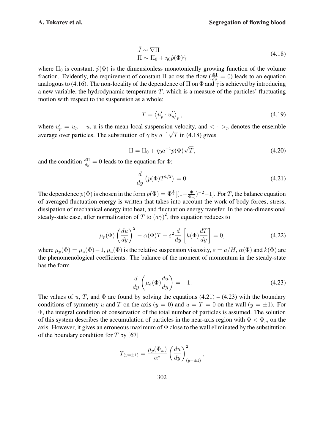$$
\bar{J} \sim \nabla \Pi
$$
  
\n
$$
\Pi \sim \Pi_0 + \eta_0 \hat{p}(\Phi) \dot{\gamma}
$$
\n(4.18)

where  $\Pi_0$  is constant,  $\hat{p}(\Phi)$  is the dimensionless monotonically growing function of the volume fraction. Evidently, the requirement of constant  $\Pi$  across the flow  $(\frac{d\Pi}{dy} = 0)$  leads to an equation analogous to (4.16). The non-locality of the dependence of  $\Pi$  on  $\Phi$  and  $\tilde{\gamma}$  is achieved by introducing a new variable, the hydrodynamic temperature  $T$ , which is a measure of the particles' fluctuating motion with respect to the suspension as a whole:

$$
T = \left\langle u'_p \cdot u'_p \right\rangle_p,\tag{4.19}
$$

where  $u'_p = u_p - u$ , u is the mean local suspension velocity, and  $\langle \cdot \rangle_p$  denotes the ensemble average over particles. The substitution of  $\dot{\gamma}$  by  $a^{-1}\sqrt{T}$  in (4.18) gives

$$
\Pi = \Pi_0 + \eta_0 a^{-1} p(\Phi) \sqrt{T},
$$
\n(4.20)

and the condition  $\frac{d\Pi}{dy} = 0$  leads to the equation for  $\Phi$ :

$$
\frac{d}{dy}\left(p(\Phi)T^{1/2}\right) = 0.\t(4.21)
$$

The dependence  $p(\Phi)$  is chosen in the form  $p(\Phi) = \Phi^{\frac{1}{2}}[(1-\frac{\Phi}{\Phi})]$  $(\frac{\Phi}{\Phi_m})^{-2}-1$ . For T, the balance equation of averaged fluctuation energy is written that takes into account the work of body forces, stress, dissipation of mechanical energy into heat, and fluctuation energy transfer. In the one-dimensional steady-state case, after normalization of T to  $(a\dot{\gamma})^2$ , this equation reduces to

$$
\mu_p(\Phi) \left(\frac{du}{dy}\right)^2 - \alpha(\Phi)T + \varepsilon^2 \frac{d}{dy} \left[k(\Phi)\frac{dT}{dy}\right] = 0,
$$
\n(4.22)

where  $\mu_p(\Phi) = \mu_a(\Phi) - 1$ ,  $\mu_a(\Phi)$  is the relative suspension viscosity,  $\varepsilon = a/H$ ,  $\alpha(\Phi)$  and  $k(\Phi)$  are the phenomenological coefficients. The balance of the moment of momentum in the steady-state has the form

$$
\frac{d}{dy}\left(\mu_a(\Phi)\frac{du}{dy}\right) = -1.\tag{4.23}
$$

The values of u, T, and  $\Phi$  are found by solving the equations (4.21) – (4.23) with the boundary conditions of symmetry u and T on the axis ( $y = 0$ ) and  $u = T = 0$  on the wall ( $y = \pm 1$ ). For Φ, the integral condition of conservation of the total number of particles is assumed. The solution of this system describes the accumulation of particles in the near-axis region with  $\Phi < \Phi_m$  on the axis. However, it gives an erroneous maximum of  $\Phi$  close to the wall eliminated by the substitution of the boundary condition for  $T$  by [67]

$$
T_{(y=\pm 1)} = \frac{\mu_p(\Phi_w)}{\alpha^*} \left(\frac{du}{dy}\right)_{(y=\pm 1)}^2,
$$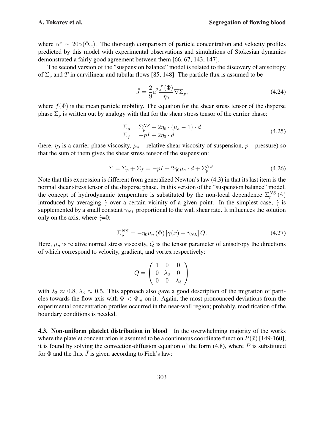where  $\alpha^* \sim 20\alpha(\Phi_w)$ . The thorough comparison of particle concentration and velocity profiles predicted by this model with experimental observations and simulations of Stokesian dynamics demonstrated a fairly good agreement between them [66, 67, 143, 147].

The second version of the "suspension balance" model is related to the discovery of anisotropy of  $\Sigma_p$  and T in curvilinear and tubular flows [85, 148]. The particle flux is assumed to be

$$
\bar{J} = \frac{2}{9}a^2 \frac{f(\Phi)}{\eta_0} \nabla \Sigma_p,\tag{4.24}
$$

where  $f(\Phi)$  is the mean particle mobility. The equation for the shear stress tensor of the disperse phase  $\Sigma_p$  is written out by analogy with that for the shear stress tensor of the carrier phase:

$$
\Sigma_p = \Sigma_p^{NS} + 2\eta_0 \cdot (\mu_a - 1) \cdot d
$$
  
\n
$$
\Sigma_f = -pI + 2\eta_0 \cdot d
$$
\n(4.25)

(here,  $\eta_0$  is a carrier phase viscosity,  $\mu_a$  – relative shear viscosity of suspension, p – pressure) so that the sum of them gives the shear stress tensor of the suspension:

$$
\Sigma = \Sigma_p + \Sigma_f = -pI + 2\eta_0\mu_a \cdot d + \Sigma_p^{NS}.
$$
\n(4.26)

Note that this expression is different from generalized Newton's law (4.3) in that its last item is the normal shear stress tensor of the disperse phase. In this version of the "suspension balance" model, the concept of hydrodynamic temperature is substituted by the non-local dependence  $\Sigma_p^{NS}(\dot{\gamma})$ introduced by averaging  $\dot{\gamma}$  over a certain vicinity of a given point. In the simplest case,  $\dot{\gamma}$  is supplemented by a small constant  $\dot{\gamma}_{NL}$  proportional to the wall shear rate. It influences the solution only on the axis, where  $\dot{\gamma} = 0$ :

$$
\Sigma_p^{NS} = -\eta_0 \mu_n \left(\Phi\right) \left[\dot{\gamma}(x) + \dot{\gamma}_{NL}\right] Q. \tag{4.27}
$$

Here,  $\mu_n$  is relative normal stress viscosity, Q is the tensor parameter of anisotropy the directions of which correspond to velocity, gradient, and vortex respectively:

$$
Q = \left(\begin{array}{ccc} 1 & 0 & 0 \\ 0 & \lambda_3 & 0 \\ 0 & 0 & \lambda_3 \end{array}\right)
$$

with  $\lambda_2 \approx 0.8$ ,  $\lambda_3 \approx 0.5$ . This approach also gave a good description of the migration of particles towards the flow axis with  $\Phi < \Phi_m$  on it. Again, the most pronounced deviations from the experimental concentration profiles occurred in the near-wall region; probably, modification of the boundary conditions is needed.

4.3. Non-uniform platelet distribution in blood In the overwhelming majority of the works where the platelet concentration is assumed to be a continuous coordinate function  $P(\bar{x})$  [149-160], it is found by solving the convection-diffusion equation of the form  $(4.8)$ , where P is substituted for  $\Phi$  and the flux  $\bar{J}$  is given according to Fick's law: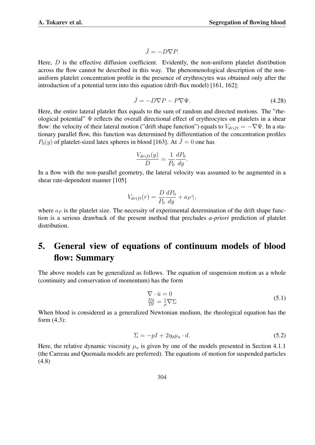$$
\bar{J} = -D\nabla P.
$$

Here,  $D$  is the effective diffusion coefficient. Evidently, the non-uniform platelet distribution across the flow cannot be described in this way. The phenomenological description of the nonuniform platelet concentration profile in the presence of erythrocytes was obtained only after the introduction of a potential term into this equation (drift-flux model) [161, 162]:

$$
\bar{J} = -D\nabla P - P\nabla \Psi. \tag{4.28}
$$

Here, the entire lateral platelet flux equals to the sum of random and directed motions. The "rheological potential" Ψ reflects the overall directional effect of erythrocytes on platelets in a shear flow: the velocity of their lateral motion ("drift shape function") equals to  $V_{drift} = -\nabla \Psi$ . In a stationary parallel flow, this function was determined by differentiation of the concentration profiles  $P_0(y)$  of platelet-sized latex spheres in blood [163]. At  $\bar{J}=0$  one has

$$
\frac{V_{drift}(y)}{D} = \frac{1}{P_0} \frac{dP_0}{dy}.
$$

In a flow with the non-parallel geometry, the lateral velocity was assumed to be augmented in a shear rate-dependent manner [105]

$$
V_{drift}(r) = \frac{D}{P_0} \frac{dP_0}{dy} + a_P \dot{\gamma},
$$

where  $a<sub>P</sub>$  is the platelet size. The necessity of experimental determination of the drift shape function is a serious drawback of the present method that precludes *a-priori* prediction of platelet distribution.

# 5. General view of equations of continuum models of blood flow: Summary

The above models can be generalized as follows. The equation of suspension motion as a whole (continuity and conservation of momentum) has the form

$$
\nabla \cdot \bar{u} = 0
$$
  
\n
$$
\frac{D\bar{u}}{Dt} = \frac{1}{\rho} \nabla \Sigma
$$
\n(5.1)

When blood is considered as a generalized Newtonian medium, the rheological equation has the form (4.3):

$$
\Sigma = -pI + 2\eta_0 \mu_a \cdot d. \tag{5.2}
$$

Here, the relative dynamic viscosity  $\mu_a$  is given by one of the models presented in Section 4.1.1 (the Carreau and Quemada models are preferred). The equations of motion for suspended particles (4.8)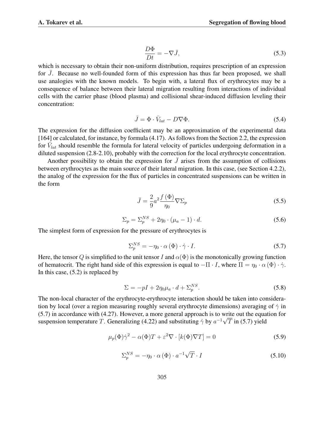$$
\frac{D\Phi}{Dt} = -\nabla \bar{J},\tag{5.3}
$$

which is necessary to obtain their non-uniform distribution, requires prescription of an expression for  $\overline{J}$ . Because no well-founded form of this expression has thus far been proposed, we shall use analogies with the known models. To begin with, a lateral flux of erythrocytes may be a consequence of balance between their lateral migration resulting from interactions of individual cells with the carrier phase (blood plasma) and collisional shear-induced diffusion leveling their concentration:

$$
\bar{J} = \Phi \cdot \bar{V}_{lat} - D \nabla \Phi. \tag{5.4}
$$

The expression for the diffusion coefficient may be an approximation of the experimental data [164] or calculated, for instance, by formula (4.17). As follows from the Section 2.2, the expression for  $\bar{V}_{lat}$  should resemble the formula for lateral velocity of particles undergoing deformation in a diluted suspension (2.8-2.10), probably with the correction for the local erythrocyte concentration.

Another possibility to obtain the expression for  $\bar{J}$  arises from the assumption of collisions between erythrocytes as the main source of their lateral migration. In this case, (see Section 4.2.2), the analog of the expression for the flux of particles in concentrated suspensions can be written in the form

$$
\bar{J} = \frac{2}{9}a^2 \frac{f(\Phi)}{\eta_0} \nabla \Sigma_p
$$
\n(5.5)

$$
\Sigma_p = \Sigma_p^{NS} + 2\eta_0 \cdot (\mu_a - 1) \cdot d. \tag{5.6}
$$

The simplest form of expression for the pressure of erythrocytes is

$$
\Sigma_p^{NS} = -\eta_0 \cdot \alpha \left(\Phi\right) \cdot \dot{\gamma} \cdot I. \tag{5.7}
$$

Here, the tensor Q is simplified to the unit tensor I and  $\alpha(\Phi)$  is the monotonically growing function of hematocrit. The right hand side of this expression is equal to  $-\Pi \cdot I$ , where  $\Pi = \eta_0 \cdot \alpha(\Phi) \cdot \dot{\gamma}$ . In this case,  $(5.2)$  is replaced by

$$
\Sigma = -pI + 2\eta_0 \mu_a \cdot d + \Sigma_p^{NS}.\tag{5.8}
$$

The non-local character of the erythrocyte-erythrocyte interaction should be taken into consideration by local (over a region measuring roughly several erythrocyte dimensions) averaging of  $\dot{\gamma}$  in (5.7) in accordance with (4.27). However, a more general approach is to write out the equation for suspension temperature T. Generalizing (4.22) and substituting  $\dot{\gamma}$  by  $a^{-1}\sqrt{T}$  in (5.7) yield

$$
\mu_p(\Phi)\dot{\gamma}^2 - \alpha(\Phi)T + \varepsilon^2 \nabla \cdot [k(\Phi)\nabla T] = 0 \tag{5.9}
$$

$$
\Sigma_p^{NS} = -\eta_0 \cdot \alpha \left(\Phi\right) \cdot a^{-1} \sqrt{T} \cdot I \tag{5.10}
$$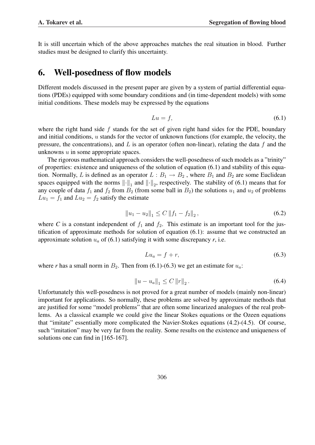It is still uncertain which of the above approaches matches the real situation in blood. Further studies must be designed to clarify this uncertainty.

#### 6. Well-posedness of flow models

Different models discussed in the present paper are given by a system of partial differential equations (PDEs) equipped with some boundary conditions and (in time-dependent models) with some initial conditions. These models may be expressed by the equations

$$
Lu = f,\tag{6.1}
$$

where the right hand side  $f$  stands for the set of given right hand sides for the PDE, boundary and initial conditions, u stands for the vector of unknown functions (for example, the velocity, the pressure, the concentrations), and  $L$  is an operator (often non-linear), relating the data  $f$  and the unknowns u in some appropriate spaces.

The rigorous mathematical approach considers the well-posedness of such models as a "trinity" of properties: existence and uniqueness of the solution of equation (6.1) and stability of this equation. Normally, L is defined as an operator  $L : B_1 \to B_2$ , where  $B_1$  and  $B_2$  are some Euclidean spaces equipped with the norms  $\|\cdot\|_1$  and  $\|\cdot\|_2$ , respectively. The stability of (6.1) means that for any couple of data  $f_1$  and  $f_2$  from  $B_2$  (from some ball in  $B_2$ ) the solutions  $u_1$  and  $u_2$  of problems  $Lu_1 = f_1$  and  $Lu_2 = f_2$  satisfy the estimate

$$
||u_1 - u_2||_1 \le C ||f_1 - f_2||_2, \tag{6.2}
$$

where *C* is a constant independent of  $f_1$  and  $f_2$ . This estimate is an important tool for the justification of approximate methods for solution of equation (6.1): assume that we constructed an approximate solution  $u_a$  of (6.1) satisfying it with some discrepancy  $r$ , i.e.

$$
Lu_a = f + r,\tag{6.3}
$$

where *r* has a small norm in  $B_2$ . Then from (6.1)-(6.3) we get an estimate for  $u_a$ :

$$
||u - u_a||_1 \le C ||r||_2.
$$
\n(6.4)

Unfortunately this well-posedness is not proved for a great number of models (mainly non-linear) important for applications. So normally, these problems are solved by approximate methods that are justified for some "model problems" that are often some linearized analogues of the real problems. As a classical example we could give the linear Stokes equations or the Ozeen equations that "imitate" essentially more complicated the Navier-Stokes equations (4.2)-(4.5). Of course, such "imitation" may be very far from the reality. Some results on the existence and uniqueness of solutions one can find in [165-167].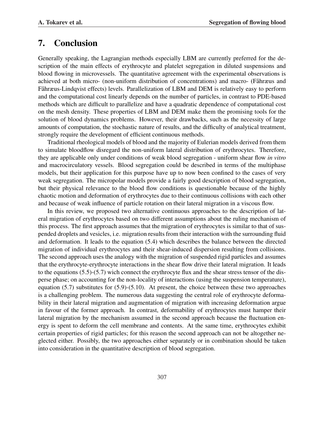### 7. Conclusion

Generally speaking, the Lagrangian methods especially LBM are currently preferred for the description of the main effects of erythrocyte and platelet segregation in diluted suspensions and blood flowing in microvessels. The quantitative agreement with the experimental observations is achieved at both micro- (non-uniform distribution of concentrations) and macro- (Fåhræus and Fåhræus-Lindqvist effects) levels. Parallelization of LBM and DEM is relatively easy to perform and the computational cost linearly depends on the number of particles, in contrast to PDE-based methods which are difficult to parallelize and have a quadratic dependence of computational cost on the mesh density. These properties of LBM and DEM make them the promising tools for the solution of blood dynamics problems. However, their drawbacks, such as the necessity of large amounts of computation, the stochastic nature of results, and the difficulty of analytical treatment, strongly require the development of efficient continuous methods.

Traditional rheological models of blood and the majority of Eulerian models derived from them to simulate bloodflow disregard the non-uniform lateral distribution of erythrocytes. Therefore, they are applicable only under conditions of weak blood segregation - uniform shear flow *in vitro* and macrocirculatory vessels. Blood segregation could be described in terms of the multiphase models, but their application for this purpose have up to now been confined to the cases of very weak segregation. The micropolar models provide a fairly good description of blood segregation, but their physical relevance to the blood flow conditions is questionable because of the highly chaotic motion and deformation of erythrocytes due to their continuous collisions with each other and because of weak influence of particle rotation on their lateral migration in a viscous flow.

In this review, we proposed two alternative continuous approaches to the description of lateral migration of erythrocytes based on two different assumptions about the ruling mechanism of this process. The first approach assumes that the migration of erythrocytes is similar to that of suspended droplets and vesicles, i.e. migration results from their interaction with the surrounding fluid and deformation. It leads to the equation (5.4) which describes the balance between the directed migration of individual erythrocytes and their shear-induced dispersion resulting from collisions. The second approach uses the analogy with the migration of suspended rigid particles and assumes that the erythrocyte-erythrocyte interactions in the shear flow drive their lateral migration. It leads to the equations  $(5.5)-(5.7)$  wich connect the erythrocyte flux and the shear stress tensor of the disperse phase; on accounting for the non-locality of interactions (using the suspension temperature), equation (5.7) substitutes for (5.9)-(5.10). At present, the choice between these two approaches is a challenging problem. The numerous data suggesting the central role of erythrocyte deformability in their lateral migration and augmentation of migration with increasing deformation argue in favour of the former approach. In contrast, deformability of erythrocytes must hamper their lateral migration by the mechanism assumed in the second approach because the fluctuation energy is spent to deform the cell membrane and contents. At the same time, erythrocytes exhibit certain properties of rigid particles; for this reason the second approach can not be altogether neglected either. Possibly, the two approaches either separately or in combination should be taken into consideration in the quantitative description of blood segregation.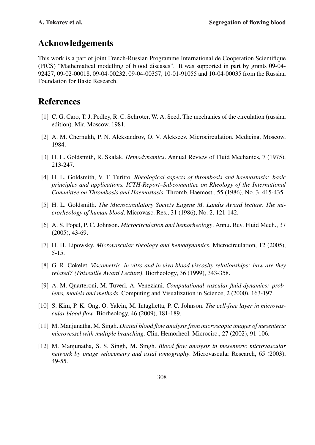### Acknowledgements

This work is a part of joint French-Russian Programme International de Cooperation Scientifique (PICS) "Mathematical modelling of blood diseases". It was supported in part by grants 09-04- 92427, 09-02-00018, 09-04-00232, 09-04-00357, 10-01-91055 and 10-04-00035 from the Russian Foundation for Basic Research.

# References

- [1] C. G. Caro, T. J. Pedley, R. C. Schroter, W. A. Seed. The mechanics of the circulation (russian edition). Mir, Moscow, 1981.
- [2] A. M. Chernukh, P. N. Aleksandrov, O. V. Alekseev. Microcirculation. Medicina, Moscow, 1984.
- [3] H. L. Goldsmith, R. Skalak. *Hemodynamics*. Annual Review of Fluid Mechanics, 7 (1975), 213-247.
- [4] H. L. Goldsmith, V. T. Turitto. *Rheological aspects of thrombosis and haemostasis: basic principles and applications. ICTH-Report–Subcommittee on Rheology of the International Committee on Thrombosis and Haemostasis*. Thromb. Haemost., 55 (1986), No. 3, 415-435.
- [5] H. L. Goldsmith. *The Microcirculatory Society Eugene M. Landis Award lecture. The microrheology of human blood*. Microvasc. Res., 31 (1986), No. 2, 121-142.
- [6] A. S. Popel, P. C. Johnson. *Microcirculation and hemorheology*. Annu. Rev. Fluid Mech., 37 (2005), 43-69.
- [7] H. H. Lipowsky. *Microvascular rheology and hemodynamics*. Microcirculation, 12 (2005), 5-15.
- [8] G. R. Cokelet. *Viscometric, in vitro and in vivo blood viscosity relationships: how are they related? (Poiseuille Award Lecture)*. Biorheology, 36 (1999), 343-358.
- [9] A. M. Quarteroni, M. Tuveri, A. Veneziani. *Computational vascular fluid dynamics: problems, models and methods*. Computing and Visualization in Science, 2 (2000), 163-197.
- [10] S. Kim, P. K. Ong, O. Yalcin, M. Intaglietta, P. C. Johnson. *The cell-free layer in microvascular blood flow*. Biorheology, 46 (2009), 181-189.
- [11] M. Manjunatha, M. Singh. *Digital blood flow analysis from microscopic images of mesenteric microvessel with multiple branching*. Clin. Hemorheol. Microcirc., 27 (2002), 91-106.
- [12] M. Manjunatha, S. S. Singh, M. Singh. *Blood flow analysis in mesenteric microvascular network by image velocimetry and axial tomography*. Microvascular Research, 65 (2003), 49-55.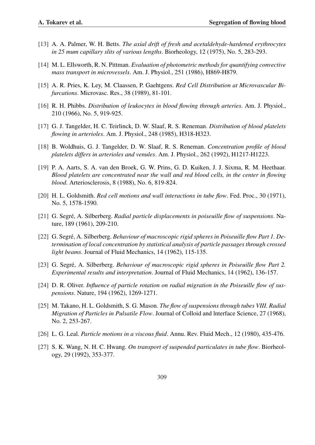- [13] A. A. Palmer, W. H. Betts. *The axial drift of fresh and acetaldehyde-hardened erythrocytes in 25 mum capillary slits of various lengths*. Biorheology, 12 (1975), No. 5, 283-293.
- [14] M. L. Ellsworth, R. N. Pittman. *Evaluation of photometric methods for quantifying convective mass transport in microvessels*. Am. J. Physiol., 251 (1986), H869-H879.
- [15] A. R. Pries, K. Ley, M. Claassen, P. Gaehtgens. *Red Cell Distribution at Microvascular Bifurcations*. Microvasc. Res., 38 (1989), 81-101.
- [16] R. H. Phibbs. *Distribution of leukocytes in blood flowing through arteries*. Am. J. Physiol., 210 (1966), No. 5, 919-925.
- [17] G. J. Tangelder, H. C. Teirlinck, D. W. Slaaf, R. S. Reneman. *Distribution of blood platelets flowing in arterioles*. Am. J. Physiol., 248 (1985), H318-H323.
- [18] B. Woldhuis, G. J. Tangelder, D. W. Slaaf, R. S. Reneman. *Concentration profile of blood platelets differs in arterioles and venules*. Am. J. Physiol., 262 (1992), H1217-H1223.
- [19] P. A. Aarts, S. A. van den Broek, G. W. Prins, G. D. Kuiken, J. J. Sixma, R. M. Heethaar. *Blood platelets are concentrated near the wall and red blood cells, in the center in flowing blood*. Arteriosclerosis, 8 (1988), No. 6, 819-824.
- [20] H. L. Goldsmith. *Red cell motions and wall interactions in tube flow*. Fed. Proc., 30 (1971), No. 5, 1578-1590.
- [21] G. Segré, A. Silberberg. Radial particle displacements in poiseuille flow of suspensions. Nature, 189 (1961), 209-210.
- [22] G. Segré, A. Silberberg. *Behaviour of macroscopic rigid spheres in Poiseuille flow Part 1. Determination of local concentration by statistical analysis of particle passages through crossed light beams*. Journal of Fluid Mechanics, 14 (1962), 115-135.
- [23] G. Segré, A. Silberberg. *Behaviour of macroscopic rigid spheres in Poiseuille flow Part 2. Experimental results and interpretation*. Journal of Fluid Mechanics, 14 (1962), 136-157.
- [24] D. R. Oliver. *Influence of particle rotation on radial migration in the Poiseuille flow of suspensions*. Nature, 194 (1962), 1269-1271.
- [25] M. Takano, H. L. Goldsmith, S. G. Mason. *The flow of suspensions through tubes VIII. Radial Migration of Particles in Pulsatile Flow*. Journal of Colloid and lnterface Science, 27 (1968), No. 2, 253-267.
- [26] L. G. Leal. *Particle motions in a viscous fluid*. Annu. Rev. Fluid Mech., 12 (1980), 435-476.
- [27] S. K. Wang, N. H. C. Hwang. *On transport of suspended particulates in tube flow*. Biorheology, 29 (1992), 353-377.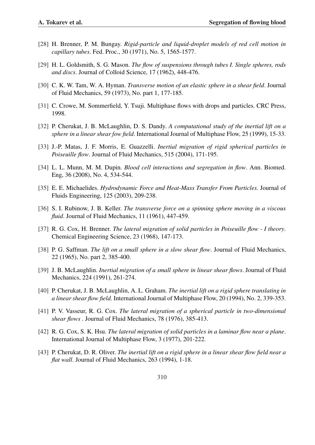- [28] H. Brenner, P. M. Bungay. *Rigid-particle and liquid-droplet models of red cell motion in capillary tubes*. Fed. Proc., 30 (1971), No. 5, 1565-1577.
- [29] H. L. Goldsmith, S. G. Mason. *The flow of suspensions through tubes I. Single spheres, rods and discs*. Journal of Colloid Science, 17 (1962), 448-476.
- [30] C. K. W. Tam, W. A. Hyman. *Transverse motion of an elastic sphere in a shear field*. Journal of Fluid Mechanics, 59 (1973), No. part 1, 177-185.
- [31] C. Crowe, M. Sommerfield, Y. Tsuji. Multiphase flows with drops and particles. CRC Press, 1998.
- [32] P. Cherukat, J. B. McLaughlin, D. S. Dandy. *A computational study of the inertial lift on a sphere in a linear shear fow field*. International Journal of Multiphase Flow, 25 (1999), 15-33.
- [33] J.-P. Matas, J. F. Morris, E. Guazzelli. *Inertial migration of rigid spherical particles in Poiseuille flow*. Journal of Fluid Mechanics, 515 (2004), 171-195.
- [34] L. L. Munn, M. M. Dupin. *Blood cell interactions and segregation in flow*. Ann. Biomed. Eng, 36 (2008), No. 4, 534-544.
- [35] E. E. Michaelides. *Hydrodynamic Force and Heat-Mass Transfer From Particles*. Journal of Fluids Engineering, 125 (2003), 209-238.
- [36] S. I. Rubinow, J. B. Keller. *The transverse force on a spinning sphere moving in a viscous fluid*. Journal of Fluid Mechanics, 11 (1961), 447-459.
- [37] R. G. Cox, H. Brenner. *The lateral migration of solid particles in Poiseuille flow I theory*. Chemical Engineering Science, 23 (1968), 147-173.
- [38] P. G. Saffman. *The lift on a small sphere in a slow shear flow*. Journal of Fluid Mechanics, 22 (1965), No. part 2, 385-400.
- [39] J. B. McLaughlin. *Inertial migration of a small sphere in linear shear flows*. Journal of Fluid Mechanics, 224 (1991), 261-274.
- [40] P. Cherukat, J. B. McLaughlin, A. L. Graham. *The inertial lift on a rigid sphere translating in a linear shear flow field*. International Journal of Multiphase Flow, 20 (1994), No. 2, 339-353.
- [41] P. V. Vasseur, R. G. Cox. *The lateral migration of a spherical particle in two-dimensional shear flows* . Journal of Fluid Mechanics, 78 (1976), 385-413.
- [42] R. G. Cox, S. K. Hsu. *The lateral migration of solid particles in a laminar flow near a plane*. International Journal of Multiphase Flow, 3 (1977), 201-222.
- [43] P. Cherukat, D. R. Oliver. *The inertial lift on a rigid sphere in a linear shear flow field near a flat wall*. Journal of Fluid Mechanics, 263 (1994), 1-18.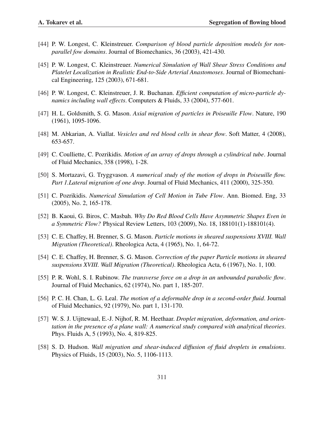- [44] P. W. Longest, C. Kleinstreuer. *Comparison of blood particle deposition models for nonparallel fow domains*. Journal of Biomechanics, 36 (2003), 421-430.
- [45] P. W. Longest, C. Kleinstreuer. *Numerical Simulation of Wall Shear Stress Conditions and Platelet Localization in Realistic End-to-Side Arterial Anastomoses*. Journal of Biomechanical Engineering, 125 (2003), 671-681.
- [46] P. W. Longest, C. Kleinstreuer, J. R. Buchanan. *Efficient computation of micro-particle dynamics including wall effects*. Computers & Fluids, 33 (2004), 577-601.
- [47] H. L. Goldsmith, S. G. Mason. *Axial migration of particles in Poiseuille Flow*. Nature, 190 (1961), 1095-1096.
- [48] M. Abkarian, A. Viallat. *Vesicles and red blood cells in shear flow*. Soft Matter, 4 (2008), 653-657.
- [49] C. Coulliette, C. Pozrikidis. *Motion of an array of drops through a cylindrical tube*. Journal of Fluid Mechanics, 358 (1998), 1-28.
- [50] S. Mortazavi, G. Tryggvason. *A numerical study of the motion of drops in Poiseuille flow. Part 1.Lateral migration of one drop*. Journal of Fluid Mechanics, 411 (2000), 325-350.
- [51] C. Pozrikidis. *Numerical Simulation of Cell Motion in Tube Flow*. Ann. Biomed. Eng, 33 (2005), No. 2, 165-178.
- [52] B. Kaoui, G. Biros, C. Masbah. *Why Do Red Blood Cells Have Asymmetric Shapes Even in a Symmetric Flow?* Physical Review Letters, 103 (2009), No. 18, 188101(1)-188101(4).
- [53] C. E. Chaffey, H. Brenner, S. G. Mason. *Particle motions in sheared suspensions XVIII. Wall Migration (Theoretical)*. Rheologica Acta, 4 (1965), No. 1, 64-72.
- [54] C. E. Chaffey, H. Brenner, S. G. Mason. *Correction of the paper Particle motions in sheared suspensions XVIII. Wall Migration (Theoretical)*. Rheologica Acta, 6 (1967), No. 1, 100.
- [55] P. R. Wohl, S. I. Rubinow. *The transverse force on a drop in an unbounded parabolic flow*. Journal of Fluid Mechanics, 62 (1974), No. part 1, 185-207.
- [56] P. C. H. Chan, L. G. Leal. *The motion of a deformable drop in a second-order fluid*. Journal of Fluid Mechanics, 92 (1979), No. part 1, 131-170.
- [57] W. S. J. Uijttewaal, E.-J. Nijhof, R. M. Heethaar. *Droplet migration, deformation, and orientation in the presence of a plane wall: A numerical study compared with analytical theories*. Phys. Fluids A, 5 (1993), No. 4, 819-825.
- [58] S. D. Hudson. *Wall migration and shear-induced diffusion of fluid droplets in emulsions*. Physics of Fluids, 15 (2003), No. 5, 1106-1113.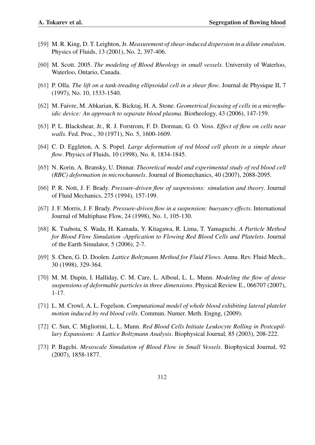- [59] M. R. King, D. T. Leighton, Jr. *Measurement of shear-induced dispersion in a dilute emulsion*. Physics of Fluids, 13 (2001), No. 2, 397-406.
- [60] M. Scott. 2005. *The modeling of Blood Rheology in small vessels*. University of Waterloo, Waterloo, Ontario, Canada.
- [61] P. Olla. *The lift on a tank-treading ellipsoidal cell in a shear flow*. Journal de Physique II, 7 (1997), No. 10, 1533-1540.
- [62] M. Faivre, M. Abkarian, K. Bickraj, H. A. Stone. *Geometrical focusing of cells in a microfluidic device: An approach to separate blood plasma*. Biorheology, 43 (2006), 147-159.
- [63] P. L. Blackshear, Jr., R. J. Forstrom, F. D. Dorman, G. O. Voss. *Effect of flow on cells near walls*. Fed. Proc., 30 (1971), No. 5, 1600-1609.
- [64] C. D. Eggleton, A. S. Popel. *Large deformation of red blood cell ghosts in a simple shear flow*. Physics of Fluids, 10 (1998), No. 8, 1834-1845.
- [65] N. Korin, A. Bransky, U. Dinnar. *Theoretical model and experimental study of red blood cell (RBC) deformation in microchannels*. Journal of Biomechanics, 40 (2007), 2088-2095.
- [66] P. R. Nott, J. F. Brady. *Pressure-driven flow of suspensions: simulation and theory*. Journal of Fluid Mechanics, 275 (1994), 157-199.
- [67] J. F. Morris, J. F. Brady. *Pressure-driven flow in a suspension: buoyancy effects*. International Journal of Multiphase Flow, 24 (1998), No. 1, 105-130.
- [68] K. Tsubota, S. Wada, H. Kamada, Y. Kitagawa, R. Lima, T. Yamaguchi. *A Particle Method for Blood Flow Simulation -Application to Flowing Red Blood Cells and Platelets*. Journal of the Earth Simulator, 5 (2006), 2-7.
- [69] S. Chen, G. D. Doolen. *Lattice Boltzmann Method for Fluid Flows*. Annu. Rev. Fluid Mech., 30 (1998), 329-364.
- [70] M. M. Dupin, I. Halliday, C. M. Care, L. Alboul, L. L. Munn. *Modeling the flow of dense suspensions of deformable particles in three dimensions*. Physical Review E., 066707 (2007), 1-17.
- [71] L. M. Crowl, A. L. Fogelson. *Computational model of whole blood exhibiting lateral platelet motion induced by red blood cells*. Commun. Numer. Meth. Engng, (2009).
- [72] C. Sun, C. Migliorini, L. L. Munn. *Red Blood Cells Initiate Leukocyte Rolling in Postcapillary Expansions: A Lattice Boltzmann Analysis*. Biophysical Journal, 85 (2003), 208-222.
- [73] P. Bagchi. *Mesoscale Simulation of Blood Flow in Small Vessels*. Biophysical Journal, 92 (2007), 1858-1877.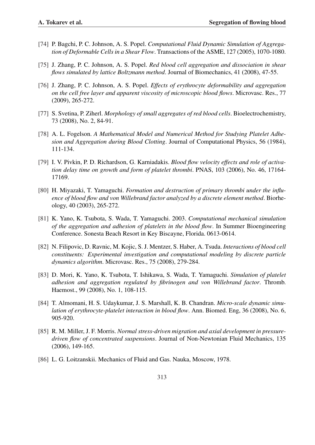- [74] P. Bagchi, P. C. Johnson, A. S. Popel. *Computational Fluid Dynamic Simulation of Aggregation of Deformable Cells in a Shear Flow*. Transactions of the ASME, 127 (2005), 1070-1080.
- [75] J. Zhang, P. C. Johnson, A. S. Popel. *Red blood cell aggregation and dissociation in shear flows simulated by lattice Boltzmann method*. Journal of Biomechanics, 41 (2008), 47-55.
- [76] J. Zhang, P. C. Johnson, A. S. Popel. *Effects of erythrocyte deformability and aggregation on the cell free layer and apparent viscosity of microscopic blood flows*. Microvasc. Res., 77 (2009), 265-272.
- [77] S. Svetina, P. Ziherl. *Morphology of small aggregates of red blood cells*. Bioelectrochemistry, 73 (2008), No. 2, 84-91.
- [78] A. L. Fogelson. *A Mathematical Model and Numerical Method for Studying Platelet Adhesion and Aggregation during Blood Clotting*. Journal of Computational Physics, 56 (1984), 111-134.
- [79] I. V. Pivkin, P. D. Richardson, G. Karniadakis. *Blood flow velocity effects and role of activation delay time on growth and form of platelet thrombi*. PNAS, 103 (2006), No. 46, 17164- 17169.
- [80] H. Miyazaki, T. Yamaguchi. *Formation and destruction of primary thrombi under the influence of blood flow and von Willebrand factor analyzed by a discrete element method*. Biorheology, 40 (2003), 265-272.
- [81] K. Yano, K. Tsubota, S. Wada, T. Yamaguchi. 2003. *Computational mechanical simulation of the aggregation and adhesion of platelets in the blood flow*. In Summer Bioengineering Conference. Sonesta Beach Resort in Key Biscayne, Florida. 0613-0614.
- [82] N. Filipovic, D. Ravnic, M. Kojic, S. J. Mentzer, S. Haber, A. Tsuda. *Interactions of blood cell constituents: Experimental investigation and computational modeling by discrete particle dynamics algorithm*. Microvasc. Res., 75 (2008), 279-284.
- [83] D. Mori, K. Yano, K. Tsubota, T. Ishikawa, S. Wada, T. Yamaguchi. *Simulation of platelet adhesion and aggregation regulated by fibrinogen and von Willebrand factor*. Thromb. Haemost., 99 (2008), No. 1, 108-115.
- [84] T. Almomani, H. S. Udaykumar, J. S. Marshall, K. B. Chandran. *Micro-scale dynamic simulation of erythrocyte-platelet interaction in blood flow*. Ann. Biomed. Eng, 36 (2008), No. 6, 905-920.
- [85] R. M. Miller, J. F. Morris. *Normal stress-driven migration and axial development in pressuredriven flow of concentrated suspensions*. Journal of Non-Newtonian Fluid Mechanics, 135 (2006), 149-165.
- [86] L. G. Loitzanskii. Mechanics of Fluid and Gas. Nauka, Moscow, 1978.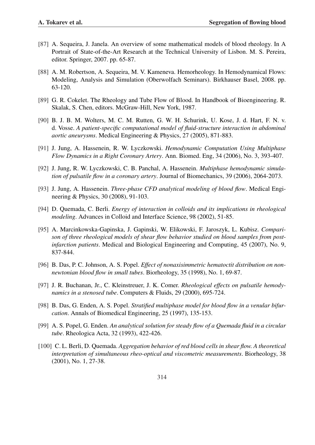- [87] A. Sequeira, J. Janela. An overview of some mathematical models of blood rheology. In A Portrait of State-of-the-Art Research at the Technical University of Lisbon. M. S. Pereira, editor. Springer, 2007. pp. 65-87.
- [88] A. M. Robertson, A. Sequeira, M. V. Kameneva. Hemorheology. In Hemodynamical Flows: Modeling, Analysis and Simulation (Oberwolfach Seminars). Birkhauser Basel, 2008. pp. 63-120.
- [89] G. R. Cokelet. The Rheology and Tube Flow of Blood. In Handbook of Bioengineering. R. Skalak, S. Chen, editors. McGraw-Hill, New York, 1987.
- [90] B. J. B. M. Wolters, M. C. M. Rutten, G. W. H. Schurink, U. Kose, J. d. Hart, F. N. v. d. Vosse. *A patient-specific computational model of fluid-structure interaction in abdominal aortic aneurysms*. Medical Engineering & Physics, 27 (2005), 871-883.
- [91] J. Jung, A. Hassenein, R. W. Lyczkowski. *Hemodynamic Computation Using Multiphase Flow Dynamics in a Right Coronary Artery*. Ann. Biomed. Eng, 34 (2006), No. 3, 393-407.
- [92] J. Jung, R. W. Lyczkowski, C. B. Panchal, A. Hassenein. *Multiphase hemodynamic simulation of pulsatile flow in a coronary artery*. Journal of Biomechanics, 39 (2006), 2064-2073.
- [93] J. Jung, A. Hassenein. *Three-phase CFD analytical modeling of blood flow*. Medical Engineering & Physics, 30 (2008), 91-103.
- [94] D. Quemada, C. Berli. *Energy of interaction in colloids and its implications in rheological modeling*. Advances in Colloid and Interface Science, 98 (2002), 51-85.
- [95] A. Marcinkowska-Gapinska, J. Gapinski, W. Elikowski, F. Jaroszyk, L. Kubisz. *Comparison of three rheological models of shear flow behavior studied on blood samples from postinfarction patients*. Medical and Biological Engineering and Computing, 45 (2007), No. 9, 837-844.
- [96] B. Das, P. C. Johnson, A. S. Popel. *Effect of nonaxisimmetric hematoctit distribution on nonnewtonian blood flow in small tubes*. Biorheology, 35 (1998), No. 1, 69-87.
- [97] J. R. Buchanan, Jr., C. Kleinstreuer, J. K. Comer. *Rheological effects on pulsatile hemodynamics in a stenosed tube*. Computers & Fluids, 29 (2000), 695-724.
- [98] B. Das, G. Enden, A. S. Popel. *Stratified multiphase model for blood flow in a venular bifurcation*. Annals of Biomedical Engineering, 25 (1997), 135-153.
- [99] A. S. Popel, G. Enden. *An analytical solution for steady flow of a Quemada fluid in a circular tube*. Rheologica Acta, 32 (1993), 422-426.
- [100] C. L. Berli, D. Quemada. *Aggregation behavior of red blood cells in shear flow. A theoretical interpretation of simultaneous rheo-optical and viscometric measurements*. Biorheology, 38 (2001), No. 1, 27-38.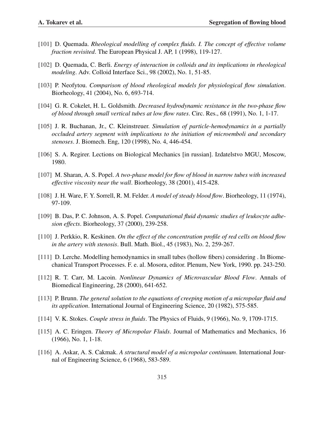- [101] D. Quemada. *Rheological modelling of complex fluids. I. The concept of effective volume fraction revisited*. The European Physical J. AP, 1 (1998), 119-127.
- [102] D. Quemada, C. Berli. *Energy of interaction in colloids and its implications in rheological modeling*. Adv. Colloid Interface Sci., 98 (2002), No. 1, 51-85.
- [103] P. Neofytou. *Comparison of blood rheological models for physiological flow simulation*. Biorheology, 41 (2004), No. 6, 693-714.
- [104] G. R. Cokelet, H. L. Goldsmith. *Decreased hydrodynamic resistance in the two-phase flow of blood through small vertical tubes at low flow rates*. Circ. Res., 68 (1991), No. 1, 1-17.
- [105] J. R. Buchanan, Jr., C. Kleinstreuer. *Simulation of particle-hemodynamics in a partially occluded artery segment with implications to the initiation of microemboli and secondary stenoses*. J. Biomech. Eng, 120 (1998), No. 4, 446-454.
- [106] S. A. Regirer. Lections on Biological Mechanics [in russian]. Izdatelstvo MGU, Moscow, 1980.
- [107] M. Sharan, A. S. Popel. *A two-phase model for flow of blood in narrow tubes with increased effective viscosity near the wall*. Biorheology, 38 (2001), 415-428.
- [108] J. H. Ware, F. Y. Sorrell, R. M. Felder. *A model of steady blood flow*. Biorheology, 11 (1974), 97-109.
- [109] B. Das, P. C. Johnson, A. S. Popel. *Computational fluid dynamic studies of leukocyte adhesion effects*. Biorheology, 37 (2000), 239-258.
- [110] J. Perkkio, R. Keskinen. *On the effect of the concentration profile of red cells on blood flow in the artery with stenosis*. Bull. Math. Biol., 45 (1983), No. 2, 259-267.
- [111] D. Lerche. Modelling hemodynamics in small tubes (hollow fibers) considering . In Biomechanical Transport Processes. F. e. al. Mosora, editor. Plenum, New York, 1990. pp. 243-250.
- [112] R. T. Carr, M. Lacoin. *Nonlinear Dynamics of Microvascular Blood Flow*. Annals of Biomedical Engineering, 28 (2000), 641-652.
- [113] P. Brunn. *The general solution to the equations of creeping motion of a micropolar fluid and its application*. International Journal of Engineering Science, 20 (1982), 575-585.
- [114] V. K. Stokes. *Couple stress in fluids*. The Physics of Fluids, 9 (1966), No. 9, 1709-1715.
- [115] A. C. Eringen. *Theory of Micropolar Fluids*. Journal of Mathematics and Mechanics, 16 (1966), No. 1, 1-18.
- [116] A. Askar, A. S. Cakmak. *A structural model of a micropolar continuum*. International Journal of Engineering Science, 6 (1968), 583-589.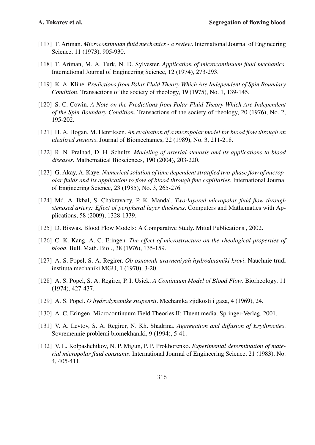- [117] T. Ariman. *Microcontinuum fluid mechanics a review*. International Journal of Engineering Science, 11 (1973), 905-930.
- [118] T. Ariman, M. A. Turk, N. D. Sylvester. *Application of microcontinuum fluid mechanics*. International Journal of Engineering Science, 12 (1974), 273-293.
- [119] K. A. Kline. *Predictions from Polar Fluid Theory Which Are Independent of Spin Boundary Condition*. Transactions of the society of rheology, 19 (1975), No. 1, 139-145.
- [120] S. C. Cowin. *A Note on the Predictions from Polar Fluid Theory Which Are Independent of the Spin Boundary Condition*. Transactions of the society of rheology, 20 (1976), No. 2, 195-202.
- [121] H. A. Hogan, M. Henriksen. *An evaluation of a micropolar model for blood flow through an idealized stenosis*. Journal of Biomechanics, 22 (1989), No. 3, 211-218.
- [122] R. N. Pralhad, D. H. Schultz. *Modeling of arterial stenosis and its applications to blood diseases*. Mathematical Biosciences, 190 (2004), 203-220.
- [123] G. Akay, A. Kaye. *Numerical solution of time dependent stratified two-phase flow of micropolar fluids and its application to flow of blood through fine capillaries*. International Journal of Engineering Science, 23 (1985), No. 3, 265-276.
- [124] Md. A. Ikbal, S. Chakravarty, P. K. Mandal. *Two-layered micropolar fluid flow through stenosed artery: Effect of peripheral layer thickness*. Computers and Mathematics with Applications, 58 (2009), 1328-1339.
- [125] D. Biswas. Blood Flow Models: A Comparative Study. Mittal Publications, 2002.
- [126] C. K. Kang, A. C. Eringen. *The effect of microstructure on the rheological properties of blood*. Bull. Math. Biol., 38 (1976), 135-159.
- [127] A. S. Popel, S. A. Regirer. *Ob osnovnih uravneniyah hydrodinamiki krovi*. Nauchnie trudi instituta mechaniki MGU, 1 (1970), 3-20.
- [128] A. S. Popel, S. A. Regirer, P. I. Usick. *A Continuum Model of Blood Flow*. Biorheology, 11 (1974), 427-437.
- [129] A. S. Popel. *O hydrodynamike suspensii*. Mechanika zjidkosti i gaza, 4 (1969), 24.
- [130] A. C. Eringen. Microcontinuum Field Theories II: Fluent media. Springer-Verlag, 2001.
- [131] V. A. Levtov, S. A. Regirer, N. Kh. Shadrina. *Aggregation and diffusion of Erythrocites*. Sovremennie problemi biomekhaniki, 9 (1994), 5-41.
- [132] V. L. Kolpashchikov, N. P. Migun, P. P. Prokhorenko. *Experimental determination of material micropolar fluid constants*. International Journal of Engineering Science, 21 (1983), No. 4, 405-411.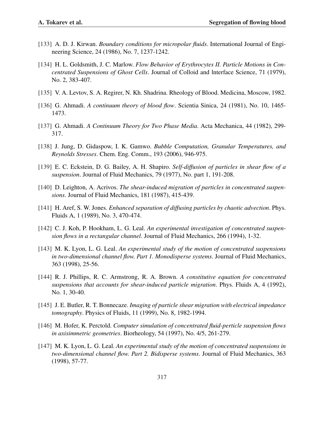- [133] A. D. J. Kirwan. *Boundary conditions for micropolar fluids*. International Journal of Engineering Science, 24 (1986), No. 7, 1237-1242.
- [134] H. L. Goldsmith, J. C. Marlow. *Flow Behavior of Erythrocytes II. Particle Motions in Concentrated Suspensions of Ghost Cells*. Journal of Colloid and lnterface Science, 71 (1979), No. 2, 383-407.
- [135] V. A. Levtov, S. A. Regirer, N. Kh. Shadrina. Rheology of Blood. Medicina, Moscow, 1982.
- [136] G. Ahmadi. *A continuum theory of blood flow*. Scientia Sinica, 24 (1981), No. 10, 1465- 1473.
- [137] G. Ahmadi. *A Continuum Theory for Two Phase Media*. Acta Mechanica, 44 (1982), 299- 317.
- [138] J. Jung, D. Gidaspow, I. K. Gamwo. *Bubble Computation, Granular Temperatures, and Reynolds Stresses*. Chem. Eng. Comm., 193 (2006), 946-975.
- [139] E. C. Eckstein, D. G. Bailey, A. H. Shapiro. *Self-diffusion of particles in shear flow of a suspension*. Journal of Fluid Mechanics, 79 (1977), No. part 1, 191-208.
- [140] D. Leighton, A. Acrivos. *The shear-induced migration of particles in concentrated suspensions*. Journal of Fluid Mechanics, 181 (1987), 415-439.
- [141] H. Aref, S. W. Jones. *Enhanced separation of diffusing particles by chaotic advection*. Phys. Fluids A, 1 (1989), No. 3, 470-474.
- [142] C. J. Koh, P. Hookham, L. G. Leal. *An experimental investigation of concentrated suspension flows in a rectangular channel*. Journal of Fluid Mechanics, 266 (1994), 1-32.
- [143] M. K. Lyon, L. G. Leal. *An experimental study of the motion of concentrated suspensions in two-dimensional channel flow. Part 1. Monodisperse systems*. Journal of Fluid Mechanics, 363 (1998), 25-56.
- [144] R. J. Phillips, R. C. Armstrong, R. A. Brown. *A constitutive equation for concentrated suspensions that accounts for shear-induced particle migration*. Phys. Fluids A, 4 (1992), No. 1, 30-40.
- [145] J. E. Butler, R. T. Bonnecaze. *Imaging of particle shear migration with electrical impedance tomography*. Physics of Fluids, 11 (1999), No. 8, 1982-1994.
- [146] M. Hofer, K. Perctold. *Computer simulation of concentrated fluid-perticle suspension flows in axisimmetric geometries*. Biorheology, 54 (1997), No. 4/5, 261-279.
- [147] M. K. Lyon, L. G. Leal. *An experimental study of the motion of concentrated suspensions in two-dimensional channel flow. Part 2. Bidisperse systems*. Journal of Fluid Mechanics, 363 (1998), 57-77.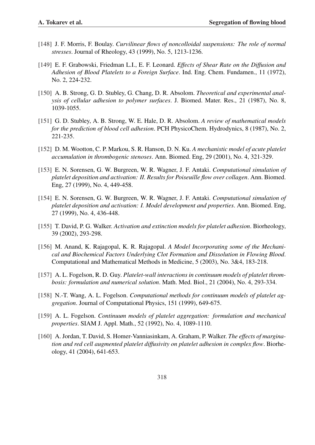- [148] J. F. Morris, F. Boulay. *Curvilinear flows of noncolloidal suspensions: The role of normal stresses*. Journal of Rheology, 43 (1999), No. 5, 1213-1236.
- [149] E. F. Grabowski, Friedman L.I., E. F. Leonard. *Effects of Shear Rate on the Diffusion and Adhesion of Blood Platelets to a Foreign Surface*. Ind. Eng. Chem. Fundamen., 11 (1972), No. 2, 224-232.
- [150] A. B. Strong, G. D. Stubley, G. Chang, D. R. Absolom. *Theoretical and experimental analysis of cellular adhesion to polymer surfaces*. J. Biomed. Mater. Res., 21 (1987), No. 8, 1039-1055.
- [151] G. D. Stubley, A. B. Strong, W. E. Hale, D. R. Absolom. *A review of mathematical models for the prediction of blood cell adhesion*. PCH PhysicoChem. Hydrodynics, 8 (1987), No. 2, 221-235.
- [152] D. M. Wootton, C. P. Markou, S. R. Hanson, D. N. Ku. *A mechanistic model of acute platelet accumulation in thrombogenic stenoses*. Ann. Biomed. Eng, 29 (2001), No. 4, 321-329.
- [153] E. N. Sorensen, G. W. Burgreen, W. R. Wagner, J. F. Antaki. *Computational simulation of platelet deposition and activation: II. Results for Poiseuille flow over collagen*. Ann. Biomed. Eng, 27 (1999), No. 4, 449-458.
- [154] E. N. Sorensen, G. W. Burgreen, W. R. Wagner, J. F. Antaki. *Computational simulation of platelet deposition and activation: I. Model development and properties*. Ann. Biomed. Eng, 27 (1999), No. 4, 436-448.
- [155] T. David, P. G. Walker. *Activation and extinction models for platelet adhesion*. Biorheology, 39 (2002), 293-298.
- [156] M. Anand, K. Rajagopal, K. R. Rajagopal. *A Model Incorporating some of the Mechanical and Biochemical Factors Underlying Clot Formation and Dissolution in Flowing Blood*. Computational and Mathematical Methods in Medicine, 5 (2003), No. 3&4, 183-218.
- [157] A. L. Fogelson, R. D. Guy. *Platelet-wall interactions in continuum models of platelet thrombosis: formulation and numerical solution*. Math. Med. Biol., 21 (2004), No. 4, 293-334.
- [158] N.-T. Wang, A. L. Fogelson. *Computational methods for continuum models of platelet aggregation*. Journal of Computational Physics, 151 (1999), 649-675.
- [159] A. L. Fogelson. *Continuum models of platelet aggregation: formulation and mechanical properties*. SIAM J. Appl. Math., 52 (1992), No. 4, 1089-1110.
- [160] A. Jordan, T. David, S. Homer-Vanniasinkam, A. Graham, P. Walker. *The effects of margination and red cell augmented platelet diffusivity on platelet adhesion in complex flow*. Biorheology, 41 (2004), 641-653.